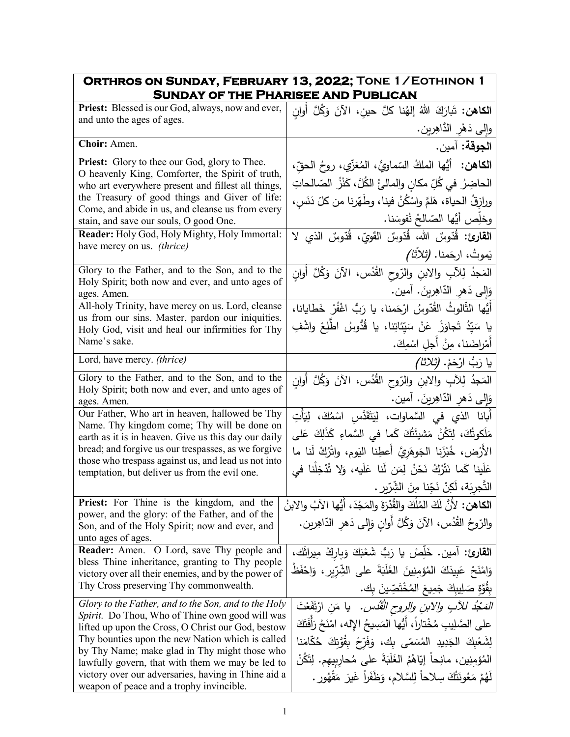| ORTHROS ON SUNDAY, FEBRUARY 13, 2022; TONE 1/EOTHINON 1                                                     |                                                                                   |
|-------------------------------------------------------------------------------------------------------------|-----------------------------------------------------------------------------------|
| <b>SUNDAY OF THE PHARISEE AND PUBLICAN</b>                                                                  |                                                                                   |
| Priest: Blessed is our God, always, now and ever,<br>and unto the ages of ages.                             | ا <b>لكاهن:</b> تَبارَكَ اللهُ إلهُنا كلَّ حين، الآنَ وَكُلَّ أُوان               |
|                                                                                                             | وإلى دَهْرِ الدَّاهِرِينِ.                                                        |
| Choir: Amen.                                                                                                | ا <b>لجوقة:</b> آمين.                                                             |
| <b>Priest:</b> Glory to thee our God, glory to Thee.                                                        | ا <b>لكاهن:</b> أَيُّها الملكُ السّماويُّ، المُعَزِّي، روحُ الحقّ،                |
| O heavenly King, Comforter, the Spirit of truth,<br>who art everywhere present and fillest all things,      | الحاضِرُ  في كُلِّ مكانٍ والمالئُ الكُلَّ، كَنْزُ  الصّالحاتِ                     |
| the Treasury of good things and Giver of life:                                                              | ورازقُ الحياة، هَلمَّ واسْكُنْ فينا، وطَهّرنا من كلّ دَنَسٍ،                      |
| Come, and abide in us, and cleanse us from every                                                            |                                                                                   |
| stain, and save our souls, O good One.                                                                      | وخلِّص أيُّها الصّالحُ نُفوسَنا.                                                  |
| Reader: Holy God, Holy Mighty, Holy Immortal:<br>have mercy on us. (thrice)                                 | ا <b>لقارئ:</b> قُدّوسٌ الله، قُدّوسٌ القَوِيّ، قُدّوسٌ الذي لا                   |
|                                                                                                             | يَموتُ، ارجَمنا. <i>(تْلاَثْا)</i>                                                |
| Glory to the Father, and to the Son, and to the                                                             | المَجدُ لِلآبِ والابنِ والرّوحِ القُدُس، الآنَ وَكُلَّ أَوانٍ                     |
| Holy Spirit; both now and ever, and unto ages of<br>ages. Amen.                                             | وَإِلَى دَهْرِ الدَّاهِرِينَ. آمين.                                               |
| All-holy Trinity, have mercy on us. Lord, cleanse                                                           | أَيُّها الثَّالوثُ القُدّوسُ ارْحَمنا، يا رَبُّ اغْفُرْ خَطايانا،                 |
| us from our sins. Master, pardon our iniquities.<br>Holy God, visit and heal our infirmities for Thy        | يا سَيّدُ تَجاوَزْ  عَنْ  سَيّئاتِنا،  يا  قُدُّوسُ  اطّلِعْ  واشْفِ              |
| Name's sake.                                                                                                | أَمْراضَنا، مِنْ أَجلِ اسْمِكَ.                                                   |
| Lord, have mercy. (thrice)                                                                                  | يا رَبُّ ارْحَمْ. <i>(ثلاثا)</i>                                                  |
| Glory to the Father, and to the Son, and to the                                                             | المَجدُ لِلآبِ والابنِ والرّوحِ القُدُس، الآنَ وَكُلَّ أَوانِ                     |
| Holy Spirit; both now and ever, and unto ages of<br>ages. Amen.                                             | وَإِلَى دَهِرِ الدَّاهِرِينَ. آمين.                                               |
| Our Father, Who art in heaven, hallowed be Thy                                                              | أَبانا الذي في السَّماوات، لِيَتَقَدَّس اسْمُكَ، لِيَأْتِ                         |
| Name. Thy kingdom come; Thy will be done on                                                                 | مَلَكوتُكَ، لِتَكُنْ مَشيئَتُكَ كَما في السَّماءِ كَذَلِكَ عَلى                   |
| earth as it is in heaven. Give us this day our daily<br>bread; and forgive us our trespasses, as we forgive |                                                                                   |
| those who trespass against us, and lead us not into                                                         | الأرْض، خُبْزَنِا الْجَوهَرِيَّ أَعطِنا اليَوم، واتْرُكْ لَنا ما                  |
| temptation, but deliver us from the evil one.                                                               | عَلَينا كَما نَتْرُكُ نَحْنُ لِمَن لَنا عَلَيه، وَلا تُذْخِلْنا في                |
|                                                                                                             | التَّجرِيَة، لَكِنْ نَجِّنا مِنَ الشِّرِّيرِ .                                    |
| Priest: For Thine is the kingdom, and the<br>power, and the glory: of the Father, and of the                | ا <b>لكاهن:</b> لأَنَّ لَكَ المُلْكَ والقُدْرَةَ والمَجْدَ، أَيُّها الآبُ والابنُ |
| Son, and of the Holy Spirit; now and ever, and                                                              | والرّوحُ القُدُس، الآنَ وَكُلَّ أُوانٍ وَإِلَى دَهْرِ الدّاهِرِينِ.               |
| unto ages of ages.                                                                                          |                                                                                   |
| Reader: Amen. O Lord, save Thy people and                                                                   | القارئ: آمين. خَلِّصْ يا رَبُّ شَعْبَكَ وَبِارِكْ مِيراثَك،                       |
| bless Thine inheritance, granting to Thy people<br>victory over all their enemies, and by the power of      | وَامْنَحْ عَبِيدَكَ الْمُؤْمِنِينَ الْغَلَبَةَ على الشِّرِّيرِ ، وَاحْفَظْ        |
| Thy Cross preserving Thy commonwealth.                                                                      | بِقُوَّةِ صَلِيبِكَ جَمِيعَ الْمُخْتَصِّينَ بِك.                                  |
| Glory to the Father, and to the Son, and to the Holy                                                        | <i>المَحْدُ للأبِ والابنِ والروحِ الْقُدْسِ.</i> يا مَنِ ارْتَفَعْتَ              |
| Spirit. Do Thou, Who of Thine own good will was<br>lifted up upon the Cross, O Christ our God, bestow       | على الصَّلِيبِ مُخْتاراً، أَيُّها المَسِيحُ اﻹله، امْنَحْ رَأَفَتَكَ              |
| Thy bounties upon the new Nation which is called                                                            | لِشَعْبِكَ الْجَدِيدِ الْمُسَمّى بِكَ، وَفَرّحْ بِقُوَّتِكَ حُكَّامَنا            |
| by Thy Name; make glad in Thy might those who                                                               | المُؤمِنِينِ، مانِحاً إِيّاهُمُ الغَلَبَةَ على مُحارِبِيهِم. لِتَكُنْ             |
| lawfully govern, that with them we may be led to<br>victory over our adversaries, having in Thine aid a     | لَهُمْ مَعُونَتُكَ سِلاحاً لِلسَّلامِ، وَظَفَراً غَيرَ مَقْهُورٍ .                |
| weapon of peace and a trophy invincible.                                                                    |                                                                                   |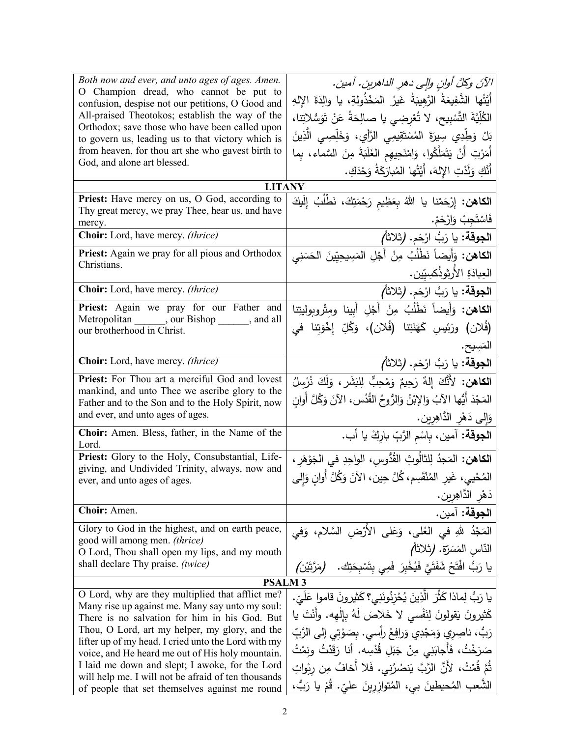| Both now and ever, and unto ages of ages. Amen.<br>O Champion dread, who cannot be put to<br>confusion, despise not our petitions, O Good and<br>All-praised Theotokos; establish the way of the<br>Orthodox; save those who have been called upon<br>to govern us, leading us to that victory which is<br>from heaven, for thou art she who gavest birth to<br>God, and alone art blessed.                                                                                   | الآنَ وكلَّ أوانِ والِي دهرِ الداهرينِ. آمينِ.<br>أَيَّتُها الشَّفِيعَةُ الرَّهِيبَةُ غَيرُ المَخْذُولةِ، يا والِدَةَ الإِلهِ<br>الكُلِّيَّةَ التَّسْبِيحِ، لا تُعْرِضِي يا صالِحَةُ عَنْ تَوَسُّلاتِنا،<br>بَلْ وَطِّدِي سِيرَةَ المُسْتَقِيمِي الرَّأْيِ، وَخَلِّصِي الَّذِينَ<br>أَمَرْتِ أَنْ يَتَمَلَّكُوا، وَامْنَحِيهِم الغَلَبَةَ مِنَ السَّماء، بِما<br>أَنَّكِ وَلَدْتِ الإِلهَ، أَيَّتُها المُبارَكَةُ وَحْدَكِ. |
|-------------------------------------------------------------------------------------------------------------------------------------------------------------------------------------------------------------------------------------------------------------------------------------------------------------------------------------------------------------------------------------------------------------------------------------------------------------------------------|-----------------------------------------------------------------------------------------------------------------------------------------------------------------------------------------------------------------------------------------------------------------------------------------------------------------------------------------------------------------------------------------------------------------------------|
| <b>LITANY</b>                                                                                                                                                                                                                                                                                                                                                                                                                                                                 |                                                                                                                                                                                                                                                                                                                                                                                                                             |
| Priest: Have mercy on us, O God, according to<br>Thy great mercy, we pray Thee, hear us, and have<br>mercy.                                                                                                                                                                                                                                                                                                                                                                   | ا <b>لكاهن:</b> إِرْحَمْنا يا اللهُ بِعَظِيم رَحْمَتِكَ، نَطْلُبُ إِلَيكَ<br>فَاسْتَجِبْ وَارْحَمْ.                                                                                                                                                                                                                                                                                                                         |
| Choir: Lord, have mercy. (thrice)                                                                                                                                                                                                                                                                                                                                                                                                                                             | الجوقة: يا رَبُّ ارْحَم. (ثلاثاً)                                                                                                                                                                                                                                                                                                                                                                                           |
| Priest: Again we pray for all pious and Orthodox<br>Christians.                                                                                                                                                                                                                                                                                                                                                                                                               | ا <b>لكاهن:</b> وَأَيضاً نَطْلُبُ مِنْ أَجْلِ المَسِيحِيّينَ الحَسَنِي<br>العِبادَةِ الأَرثوذُكسِيّين.                                                                                                                                                                                                                                                                                                                      |
| Choir: Lord, have mercy. (thrice)                                                                                                                                                                                                                                                                                                                                                                                                                                             | ا <b>لجوقة:</b> يا رَبُّ ارْحَم. (تْلاَثَاً)                                                                                                                                                                                                                                                                                                                                                                                |
| Priest: Again we pray for our Father and<br>Metropolitan _______, our Bishop _______, and all<br>our brotherhood in Christ.                                                                                                                                                                                                                                                                                                                                                   | الكاهن: وَأَيضاً نَطْلُبُ مِنْ أَجْلِ أَبِينا ومِتْروبوليتِنا<br>(فُلان) ورَئيسِ كَهَنَتِنا (فُلان)، وَكُلِّ إِخْوَتِنا في                                                                                                                                                                                                                                                                                                  |
|                                                                                                                                                                                                                                                                                                                                                                                                                                                                               | المَسِيح.                                                                                                                                                                                                                                                                                                                                                                                                                   |
| Choir: Lord, have mercy. (thrice)                                                                                                                                                                                                                                                                                                                                                                                                                                             | الجوقة: يا رَبُّ ارْحَم. (ثلاثاً)                                                                                                                                                                                                                                                                                                                                                                                           |
| <b>Priest:</b> For Thou art a merciful God and lovest                                                                                                                                                                                                                                                                                                                                                                                                                         | الكاهن: لأَنَّكَ إِلهٌ رَحِيمٌ وَمُحِبٌّ لِلبَشَرِ ، وَلَكَ نُرْسِلُ                                                                                                                                                                                                                                                                                                                                                        |
| mankind, and unto Thee we ascribe glory to the<br>Father and to the Son and to the Holy Spirit, now<br>and ever, and unto ages of ages.                                                                                                                                                                                                                                                                                                                                       | المَجْدَ أَيُّها الآبُ وَالإِبْنُ وَالرُّوحُ القُدُسِ، الآنَ وَكُلَّ أُوانِ                                                                                                                                                                                                                                                                                                                                                 |
|                                                                                                                                                                                                                                                                                                                                                                                                                                                                               | وَإِلَى دَهْرِ الدَّاهِرِينِ.                                                                                                                                                                                                                                                                                                                                                                                               |
| Choir: Amen. Bless, father, in the Name of the<br>Lord.                                                                                                                                                                                                                                                                                                                                                                                                                       | ا <b>لجوقة:</b> آمين، بِاسْمِ الرَّبِّ بارِكْ يا أب.                                                                                                                                                                                                                                                                                                                                                                        |
| Priest: Glory to the Holy, Consubstantial, Life-<br>giving, and Undivided Trinity, always, now and<br>ever, and unto ages of ages.                                                                                                                                                                                                                                                                                                                                            | ا <b>لكاهن:</b> المَجدُ لِلثالُوثِ القُدُّوسِ، الواحِدِ في الجَوْهَرِ ،<br>المُحْيي، غَيرِ المُنْقَسِم، كُلَّ حِين، الآنَ وَكُلَّ أُوانِ وَإِلَى<br>دَهْرِ الدَّاهِرِينِ.                                                                                                                                                                                                                                                   |
| Choir: Amen.                                                                                                                                                                                                                                                                                                                                                                                                                                                                  | ا <b>لجوقة:</b> آمين.                                                                                                                                                                                                                                                                                                                                                                                                       |
| Glory to God in the highest, and on earth peace,<br>good will among men. (thrice)<br>O Lord, Thou shall open my lips, and my mouth<br>shall declare Thy praise. (twice)                                                                                                                                                                                                                                                                                                       | المَجْدُ للهِ في العُلي، وَعَلى الأَرْضِ السَّلامِ، وَفي<br>النّاس المَسَرّة. (ثلاثاً)<br>يا رَبُّ افْتَحْ شَفَتَيَّ فَيُخْبِرَ  فَمِي بِتَسْبِحَتِك.<br>(مَرَّتَيْن)                                                                                                                                                                                                                                                       |
| <b>PSALM3</b>                                                                                                                                                                                                                                                                                                                                                                                                                                                                 |                                                                                                                                                                                                                                                                                                                                                                                                                             |
| O Lord, why are they multiplied that afflict me?<br>Many rise up against me. Many say unto my soul:<br>There is no salvation for him in his God. But<br>Thou, O Lord, art my helper, my glory, and the<br>lifter up of my head. I cried unto the Lord with my<br>voice, and He heard me out of His holy mountain.<br>I laid me down and slept; I awoke, for the Lord<br>will help me. I will not be afraid of ten thousands<br>of people that set themselves against me round | يا رَبُّ لِماذا كَثَّرَ الَّذِينَ يُحْزِنُونَنِي؟ كَثيرونَ قاموا عَلَيّ.<br>كَثيرونَ يَقولونَ لِنَفْسى لا خَلاصَ لَهُ بِإِلٰهه. وأَنْتَ يا<br>رَبُّ، ناصِرِي وَمَجْدِي وَرافِعُ رأسي. بِصَوْتِي إِلَى الرَّبِّ<br>صَرَخْتُ، فَأَجابَنِي مِنْ جَبَلِ قُدْسِه. أنا رَقَدْتُ ونِمْتُ<br>ثُمَّ قُمْتُ، لأَنَّ الرَّبَّ يَنصُرُنِي. فَلا أَخافُ مِن رِبْواتِ<br>الشَّعبِ المُحيطينَ بي، المُتوازرينَ عليّ. قُمْ يا رَبُّ،        |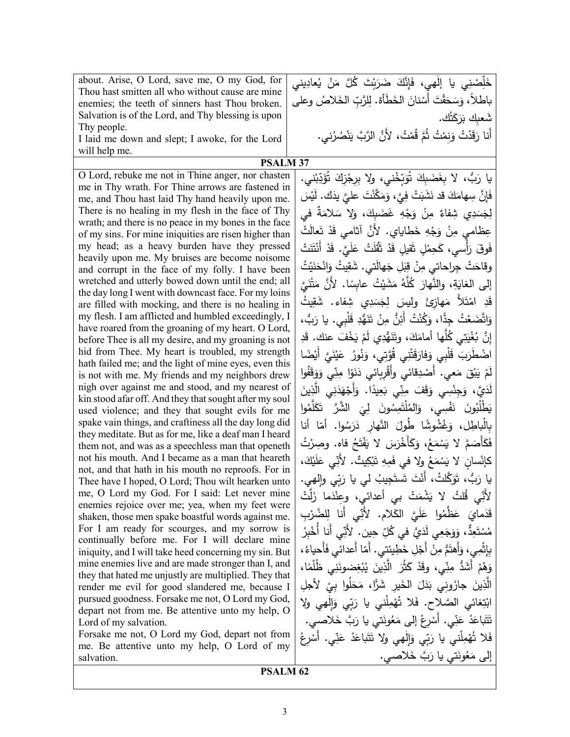| about. Arise, O Lord, save me, O my God, for                                                              | خَلِّصْنِي يا إلٰهي، فَإِنَّكَ ضَرَبْتَ كُلَّ مَنْ يُعادِينى            |
|-----------------------------------------------------------------------------------------------------------|-------------------------------------------------------------------------|
| Thou hast smitten all who without cause are mine                                                          |                                                                         |
| enemies; the teeth of sinners hast Thou broken.                                                           | باطلاً، وَسَحَقْتَ أَسْنانَ الخَطَأَة. لِلرَّبِّ الخَلاصُ وعلى          |
| Salvation is of the Lord, and Thy blessing is upon                                                        | شْعبك بَرَكَتُك.                                                        |
| Thy people.<br>I laid me down and slept; I awoke, for the Lord                                            | أَنا رَقَدْتُ وَنِمْتُ ثُمَّ قُمْتُ، لأَنَّ الرَّبَّ يَنْصُرُني.        |
| will help me.                                                                                             |                                                                         |
| <b>PSALM 37</b>                                                                                           |                                                                         |
| O Lord, rebuke me not in Thine anger, nor chasten                                                         | يا رَبُّ، لا بِغَضَبِكَ تُوَبِّخْني، ولا بِرِجْزِكَ تُؤَدِّبْني.        |
| me in Thy wrath. For Thine arrows are fastened in                                                         |                                                                         |
| me, and Thou hast laid Thy hand heavily upon me.                                                          | فَإِنَّ سِهامَكَ قد نَشَبَتْ فِيَّ، وَمَكَّنْتَ عليَّ يذَك. لَيْسَ      |
| There is no healing in my flesh in the face of Thy                                                        | لِجَسَدِي شِفاءٌ مِنْ وَجْهِ غَضَبِكَ، وَلا سَلامَةٌ في                 |
| wrath; and there is no peace in my bones in the face                                                      | عِظامي مِنْ وَجْهِ خَطايايٍ. لأَنَّ أثامي قَدْ تَعالَتْ                 |
| of my sins. For mine iniquities are risen higher than                                                     |                                                                         |
| my head; as a heavy burden have they pressed                                                              | فَوقَ رَأْسي، كَحِمْلٍ ثَقيلٍ قَدْ ثَقَٰلَتْ عَلَيَّ. قَدْ أَنْتَنَتْ   |
| heavily upon me. My bruises are become noisome<br>and corrupt in the face of my folly. I have been        | وقاحَتْ جِراحاتي مِنْ قِبَلِ جَهالَتي. شَقِيتُ وَانْحَنَيْتُ            |
| wretched and utterly bowed down until the end; all                                                        |                                                                         |
| the day long I went with downcast face. For my loins                                                      | إلى الغايَةِ، والنَّهارَ كُلَّهُ مَشَيْتُ عابِسًا. لأَنَّ مَتْنَيَّ     |
| are filled with mocking, and there is no healing in                                                       | قَدِ   امْتَلأَ   مَهازِئَ   وليسَ   لِجَسَدِي   شِفاء.   شَقِيتُ       |
| my flesh. I am afflicted and humbled exceedingly, I                                                       | وَاتَّضَعْتُ جِدًّا، وَكُنْتُ أَئِنُّ مِنْ تَنَهُّدِ قَلْبِي. يا رَبُّ، |
| have roared from the groaning of my heart. O Lord,                                                        |                                                                         |
| before Thee is all my desire, and my groaning is not                                                      | إِنَّ بُغْيَتِي كُلُّها أَمامَكَ، وتَنَهُّدِي لَمْ يَخْفَ عنك. قَدِ     |
| hid from Thee. My heart is troubled, my strength                                                          | اضْطَرَبَ قَلْبِي وَفارَقَتْنِي قُوَّتِي، وَنُورُ  عَيْنَيَّ أَيْضًا    |
| hath failed me; and the light of mine eyes, even this<br>is not with me. My friends and my neighbors drew | لَمْ يَبْقَ مَعي. أَصْدِقائي وأَقْرِبائي دَنَوْا مِنِّي وَوَقَفُوا      |
| nigh over against me and stood, and my nearest of                                                         |                                                                         |
| kin stood afar off. And they that sought after my soul                                                    | لَدَيَّ، وَجِنْسِي وَقَفَ مِنِّي بَعِيدًا. وَأَجْهَدَنِي الَّذِينَ      |
| used violence; and they that sought evils for me                                                          | يَطْلُبُونَ نَفْسِي، وَالمُلْتَمِسُونَ لِيَ الشَّرَّ تَكَلَّمُوا        |
| spake vain things, and craftiness all the day long did                                                    | بِالْباطِل، وَغُشُوشًا طُولَ النَّهار دَرَسُوا. أمّا أنا                |
| they meditate. But as for me, like a deaf man I heard                                                     |                                                                         |
| them not, and was as a speechless man that openeth                                                        | فَكَأْصَمَّ لا يَسْمَعُ، وَكَأَخْرَسَ لا يَفْتَحُ فاه. وصِرْتُ          |
| not his mouth. And I became as a man that heareth                                                         | كَإِنْسانِ لا يَسْمَعُ ولا في فَمِهِ تَبْكِيتٌ. لأنِّي عَلَيْكَ،        |
| not, and that hath in his mouth no reproofs. For in<br>Thee have I hoped, O Lord; Thou wilt hearken unto  | يا رَبُّ، تَوَكَّلتُ، أَنْتَ تَستَجِيبُ لي يا رَبِّي وإِلهي.            |
| me, O Lord my God. For I said: Let never mine                                                             |                                                                         |
| enemies rejoice over me; yea, when my feet were                                                           | لأَنِّي قُلتُ لا يَشْمَتْ بِي أعدائي، وعِنْدَما زَلَتْ                  |
| shaken, those men spake boastful words against me.                                                        | قَدَمايَ عَظَّمُوا عَلَيَّ الكَلامِ. لأَنِّي أنا لِلضَّرْبِ             |
| For I am ready for scourges, and my sorrow is                                                             | مُسْتَعِدٌّ، وَوَجَعِي لَدَيَّ في كُلِّ حِين. لأَنِّي أنا أُخْبِرُ      |
| continually before me. For I will declare mine                                                            |                                                                         |
| iniquity, and I will take heed concerning my sin. But                                                     | بِإِثْمِي، وَأَهتَمُّ مِنْ أَجْلِ خَطِيئتي. أَمّا أعدائي فَأَحياءُ،     |
| mine enemies live and are made stronger than I, and                                                       | وَهُمْ أَشَدُّ مِنِّي، وقَدْ كَثُرَ الَّذِينَ يُبْغِضونَنِي ظُلْمًا،    |
| they that hated me unjustly are multiplied. They that<br>render me evil for good slandered me, because I  | الَّذِينَ جازَوِنِي بَدَلَ الخَيرِ شَرًّا، مَحَلُوا بيْ لأجلِ           |
| pursued goodness. Forsake me not, O Lord my God,                                                          |                                                                         |
| depart not from me. Be attentive unto my help, O                                                          | ابْتِغائي الصَّلاح. فَلا تُهْمِلْنِي يا رَبِّي وَإِلْهِي ولا            |
| Lord of my salvation.                                                                                     | تَتَباعَدْ عَنِّي. أَسْرِعْ إِلَى مَعُونَتي يا رَبَّ خَلاصي.            |
| Forsake me not, O Lord my God, depart not from                                                            | فَلا تُهْمِلْني يا رَبِّي وَإِلْهِي ولا تَتَباعَدْ عَنِّي.              |
| me. Be attentive unto my help, O Lord of my                                                               |                                                                         |
| salvation.                                                                                                | إلى مَعُونَتي يا رَبَّ خَلاصي.                                          |
| <b>PSALM 62</b>                                                                                           |                                                                         |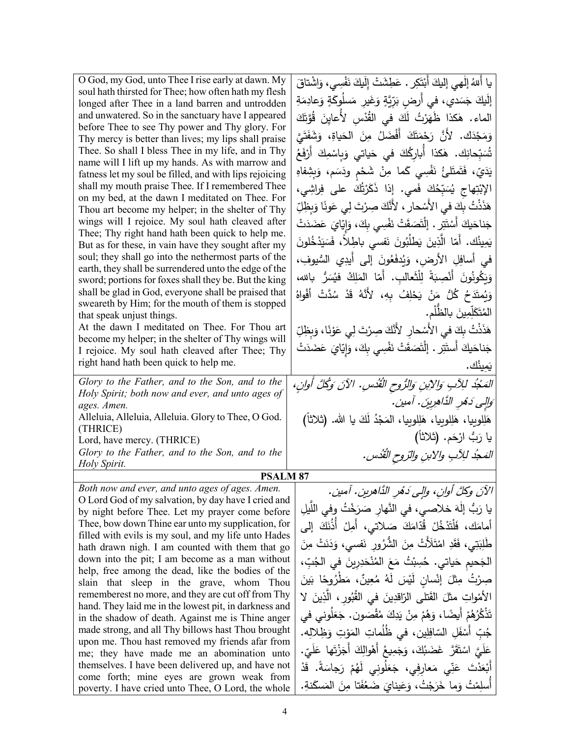| O God, my God, unto Thee I rise early at dawn. My                                                      | يا أَللهُ إلٰهي إليكَ أَبْتَكِرٍ . عَطِشَتْ إِلَيكَ نَفْسِي، وَاشْتاقَ    |
|--------------------------------------------------------------------------------------------------------|---------------------------------------------------------------------------|
| soul hath thirsted for Thee; how often hath my flesh                                                   | إِلَيكَ جَسَدي، في أَرضِ بَرِّيَّةٍ وَغَيرِ مَسلُوكَةٍ وَعادِمَةِ         |
| longed after Thee in a land barren and untrodden                                                       |                                                                           |
| and unwatered. So in the sanctuary have I appeared<br>before Thee to see Thy power and Thy glory. For  | الماء. هٰكذا ظَهَرْتُ لَكَ في القُدْسِ لأَعايِنَ قُوَّتَكَ                |
| Thy mercy is better than lives; my lips shall praise                                                   | وَمَجْدَكَ. لأَنَّ رَحْمَتَكَ أَفْضَلُ مِنَ الْحَياةِ، وَشَفَتَىَّ        |
| Thee. So shall I bless Thee in my life, and in Thy                                                     | تُسَبِّحانِك. هٰكذا أَبارِكُكَ في حَياتي وَبِاسْمِكَ أَرْفَعُ             |
| name will I lift up my hands. As with marrow and                                                       |                                                                           |
| fatness let my soul be filled, and with lips rejoicing                                                 | يَدَيّ، فَتَمتَلئُ نَفْسِي كَما مِنْ شَحْمٍ ودَسَم، وَبِشِفاهِ            |
| shall my mouth praise Thee. If I remembered Thee                                                       | الإِبْتِهاج يُسَبِّحُكَ فَمي. إذا ذَكَرْتُكَ على فِراشِي،                 |
| on my bed, at the dawn I meditated on Thee. For                                                        | هَذَنْتُ بِكَ في الأَسْحارِ ، لأَنَّكَ صِرْتَ لِي عَونًا وَبِظِلِّ        |
| Thou art become my helper; in the shelter of Thy<br>wings will I rejoice. My soul hath cleaved after   |                                                                           |
| Thee; Thy right hand hath been quick to help me.                                                       | جَناحَيكَ أَسْتَتِر . إِنْتَصَقَتْ نَفْسِي بِكَ، وَإِيّايَ عَضَدَتْ       |
| But as for these, in vain have they sought after my                                                    | يَمِينُك. أَمّا الَّذِينَ يَطْلُبُونَ نَفسى باطِلاً، فَسَيَدْخُلونَ       |
| soul; they shall go into the nethermost parts of the                                                   | في أسافِلِ الأرض، وَيُدفَعُونَ إلى أيدِي السُّيوفِ،                       |
| earth, they shall be surrendered unto the edge of the                                                  |                                                                           |
| sword; portions for foxes shall they be. But the king                                                  | وَيَكُونُونَ أَنْصِبَةً لِلْثَعالبِ. أَمّا المَلِكُ فيُسَرُّ بالله،       |
| shall be glad in God, everyone shall be praised that                                                   | وَيُمتَدَحُ كُلُّ مَنْ يَحْلِفُ بِهِ، لأَنَّهُ قَدْ سُدَّتْ أَفْواهُ      |
| sweareth by Him; for the mouth of them is stopped<br>that speak unjust things.                         | المُتَكَلِّمِينَ بِالظَّلْمِ.                                             |
| At the dawn I meditated on Thee. For Thou art                                                          |                                                                           |
| become my helper; in the shelter of Thy wings will                                                     | هَذَذْتُ بِكَ في الأَسْحارِ ۖ لأَنَّكَ صِرْتَ لِي عَوْنَا، وَبِظِلِّ      |
| I rejoice. My soul hath cleaved after Thee; Thy                                                        | جَناحَيكَ أَستَتِر . إِنْتَصَقَتْ نَفْسِي بِكَ، وَإِيّايَ عَضَدَتْ        |
| right hand hath been quick to help me.                                                                 | يَمينُك.                                                                  |
| Glory to the Father, and to the Son, and to the                                                        | المَعْبُدُ لِلِآبِ وَالِإِبنِ وَالرُّوحِ الْقُدُسِ. الآنَ وَكُلَّ أُوانِ، |
| Holy Spirit; both now and ever, and unto ages of                                                       |                                                                           |
| ages. Amen.                                                                                            | وَالِي دَهْرِ الذَّاهِرِينَ. آمين.                                        |
| Alleluia, Alleluia, Alleluia. Glory to Thee, O God.<br>(THRICE)                                        | هَلِلوبِيا، هَلِلوبِيا، هَلِلوبِيا، المَجْدُ لَكَ يا الله. (ثلاثاً)       |
| Lord, have mercy. (THRICE)                                                                             | يا رَبُّ ارْحَم. (ثلاثاً)                                                 |
| Glory to the Father, and to the Son, and to the                                                        | المَحِدُ للِآبِ والابنِ والرّوحِ القُدُسِ.                                |
| Holy Spirit.                                                                                           |                                                                           |
| <b>PSALM 87</b>                                                                                        |                                                                           |
| Both now and ever, and unto ages of ages. Amen.                                                        | الآنَ وكلَّ أُوانِ، وإلى دَهْرِ الدَّاهرينِ. آمين.                        |
| O Lord God of my salvation, by day have I cried and<br>by night before Thee. Let my prayer come before | يا رَبُّ إِلٰهَ خلاصي، في النَّهارِ صَرَخْتُ وفي اللَّيلِ                 |
| Thee, bow down Thine ear unto my supplication, for                                                     | أمامَك، فَلْتَذْخُلْ قُدَّامَكَ صَلاتي، أَمِلْ أَذُنَكَ إِلَى             |
| filled with evils is my soul, and my life unto Hades                                                   |                                                                           |
| hath drawn nigh. I am counted with them that go                                                        | طَٰلِبَتِي، فَقَدِ امْتَلَأْتْ مِنَ الشُّرُورِ نَفسى، وَدَنَتْ مِنَ       |
| down into the pit; I am become as a man without                                                        | الجَحيم حَياتي. حُسِبْتُ مَعَ المُنْحَدِرِينَ في الجُبِّ،                 |
| help, free among the dead, like the bodies of the<br>slain that sleep in the grave, whom Thou          | صِرْتُ مِثْلَ إِنْسانٍ لَيْسَ لَهُ مُعِينٌ، مَطْرُوحًا بَينَ              |
| rememberest no more, and they are cut off from Thy                                                     | الأَمْواتِ مثلَ القَتلى الرّاقدِينَ في القُبُورِ ، الَّذِينَ لا           |
| hand. They laid me in the lowest pit, in darkness and                                                  |                                                                           |
| in the shadow of death. Against me is Thine anger                                                      | تَذْكُرُهُمْ أَيضًا، وَهُمْ مِنْ يَدِكَ مُقْصَون. جَعَلُوني في            |
| made strong, and all Thy billows hast Thou brought                                                     | جُبِّ أَسْفَلِ السّافِلِينِ، في ظُلُماتِ المَوْتِ وَظِلالِه.              |
| upon me. Thou hast removed my friends afar from<br>me; they have made me an abomination unto           | عَلَيَّ اسْتَقَرَّ غَضَبُكَ، وَجَمِيعُ أَهْوالِكَ أَجَزْتَها عَلَيّ.      |
| themselves. I have been delivered up, and have not                                                     | أَبْعَدْتَ عَنِّي مَعارِفِي، جَعَلُونِي لَهُمْ رَجاسَةً. قَدْ             |
| come forth; mine eyes are grown weak from                                                              |                                                                           |
| poverty. I have cried unto Thee, O Lord, the whole                                                     | أَسلِمْتُ وَما خَرَجْتُ، وَعَينايَ ضَعُفَتا مِنَ المَسكَنةِ.              |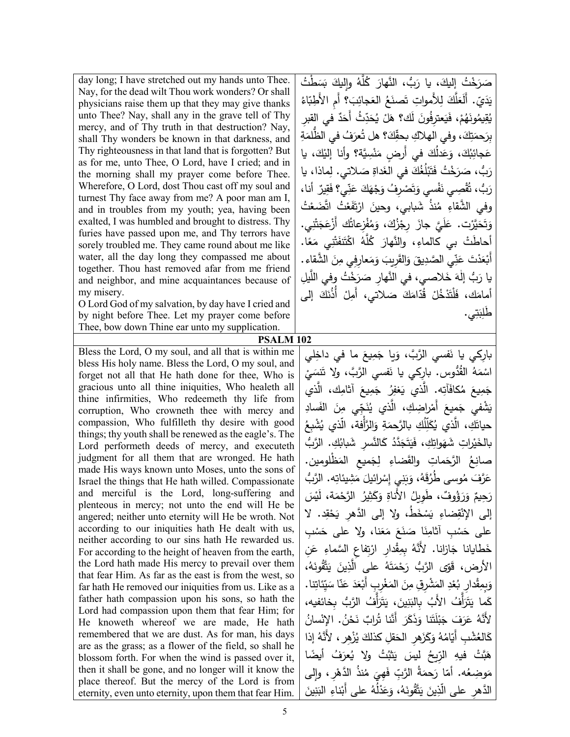day long; I have stretched out my hands unto Thee. Nay, for the dead wilt Thou work wonders? Or shall physicians raise them up that they may give thanks unto Thee? Nay, shall any in the grave tell of Thy mercy, and of Thy truth in that destruction? Nay, shall Thy wonders be known in that darkness, and Thy righteousness in that land that is forgotten? But as for me, unto Thee, O Lord, have I cried; and in the morning shall my prayer come before Thee. Wherefore, O Lord, dost Thou cast off my soul and turnest Thy face away from me? A poor man am I, and in troubles from my youth; yea, having been exalted, I was humbled and brought to distress. Thy furies have passed upon me, and Thy terrors have sorely troubled me. They came round about me like water, all the day long they compassed me about together. Thou hast removed afar from me friend and neighbor, and mine acquaintances because of my misery.

O Lord God of my salvation, by day have I cried and by night before Thee. Let my prayer come before Thee, bow down Thine ear unto my supplication.

**PSALM 102**

Bless the Lord, O my soul, and all that is within me bless His holy name. Bless the Lord, O my soul, and forget not all that He hath done for thee, Who is gracious unto all thine iniquities, Who healeth all thine infirmities, Who redeemeth thy life from corruption, Who crowneth thee with mercy and compassion, Who fulfilleth thy desire with good things; thy youth shall be renewed as the eagle's. The Lord performeth deeds of mercy, and executeth judgment for all them that are wronged. He hath made His ways known unto Moses, unto the sons of Israel the things that He hath willed. Compassionate and merciful is the Lord, long-suffering and plenteous in mercy; not unto the end will He be angered; neither unto eternity will He be wroth. Not according to our iniquities hath He dealt with us, neither according to our sins hath He rewarded us. For according to the height of heaven from the earth, the Lord hath made His mercy to prevail over them that fear Him. As far as the east is from the west, so far hath He removed our iniquities from us. Like as a father hath compassion upon his sons, so hath the Lord had compassion upon them that fear Him; for He knoweth whereof we are made, He hath remembered that we are dust. As for man, his days are as the grass; as a flower of the field, so shall he blossom forth. For when the wind is passed over it, then it shall be gone, and no longer will it know the place thereof. But the mercy of the Lord is from eternity, even unto eternity, upon them that fear Him.

صَرَخْتُ إِليكَ، يا رَبُّ، النَّهارَ كُلَّهُ وإِليكَ بَسَطْتُ<br>- يَسَعَّلُ عَلَيْهِ مِنْ النَّهارَ كُلَّهُ وإِليكَ بَسَطْتُ لَعَلَّكَ لِلأَمواتِ تَصنَعُ العَجائِبَ؟ أَمِ الأَطِبَاءُ يَدَيّ . أَل َ ٌ ِ في القبر َد ِ ُث أَح ّ َد ُح � ْ َل َك؟ ه َ ل ُون َ ِعترف �َ ،ْ ف ُم َه <u>ٛ</u>ؙۣڡؚٓيمُوذَ<br>ُ ِ<br>مِّيمُ ق � بِرَحمَتِكَ، وفي الهلاكِ بِحقِّكَ؟ هل تُعرَفُ في الظُّلمَةِ عَجائِبُكَ، وَعَدلُكَ في أَرضٍ مَنْسِيَّة؟ وأنا إليْكَ، يا<br>م ْ ً<br>ً ِماذا، �ا َ لاتي. ل ِ ص َداة َ في الغ ُك ُغ ل َب َت َ ْخ ُت ف َ ر **ٔ** َرَبُّ، صَب<br>،، رَد قْصِي نَفْسي وَتَصْرِفُ وَجْهَكَ عَنِّي؟ فَقِيرٌ ۚ أنا،<br>وَيَسْمَعُ ق <u>بَ</u> َ ُّب، ت رَد وفي الشَّقاءِ مُنذُ شَبابي، وحينَ ارْتَفَعْتُ اتَّضَعْتُ .<br>ا ِ<br>ا وَتَحَيَّرْت. عَلَيَّ جازَ رِجْزُكَ، وَمُفْزِعاتُك أَزْعَجَتْنِي.<br>ُ َ أحاطَتْ بي كالماءِ، والنَّهارَ كُلَّهُ اكْتَنَفَتْنِي مَعًا.<br>أ أَبْعَدْتَ عَنِّي الصَّدِيقَ وَالقَرِيبَ وَمَعارِفِي مِنَ الشَّقاءِ.<br>أَبْعَدْتَ عَنِّي يا رَبُّ إِلٰهَ خَلاصي، في النَّهارِ صَرَخْتُ وفي اللَّيلِ<br>ُ أمامَك، فَلْتَدْخُلْ قُدّامَكَ صَلاتي، أَمِلْ أَذُنَكَ إلى ڹ طَٰلِبَتِي .

نَفسي الرَّبَّ، وَيا جَمِيعَ ما في داخِلي يار كے ، **ٔ** اسْمَهُ القُدُّوسِ. بارِكِي يا نَفسي الرَّبَّ، ولا تَنسَيْ<br>ّ جَمِيعَ مُكافَأَتِه. الَّذي يَغفِرُ جَمِيعَ أثامِك، الَّذي ِ َساد َ الف ِن ِي م ّ َج ن ُ َّذي ی ْ ِراض ِك، ال َ أَم َم�ع َ ْشفي ج � حياتَكِ، الَّذي يُكَلِّلُكِ بالرَّحمَةِ وَالرَّأْفة، الَّذي يُشْبِعُ <u>ا</u> يْراتِ شَهَواتِكِ، فَيَتَجَدَّدُ كَالنَّسرِ شَبابُكِ. الرَّبُّ ئی<br>فیا بالخَ مَماتِ والقَضاءِ لِجَميعِ المَظْلومينِ.<br>وُيَن ُ َّ الرح ِ<br>تِع صان عَرَّفَ مُوسى طُرُقَهُ، وَبَنِيِ إِسْرائيلَ مَشِيئاتِه. الرَّبُّ<br>. ع َ ِ و ُ الأَناة ُ ٌوف َ ، طِو�ل َ ؤ َر ٌ و ْ َس ر �َ َة، ل ْم ُ َّ الرح ِیر َث � رَحيمٌ .<br>. إلى الإنْقِضاءِ يَسْخَطُ، ولا إلى الدَّهرِ يَحْقِد. لا على حَسْبِ أثامِنَا صَنَعَ مَعَنا، ولا على حَسْبِ<br>مَسْنَةٍ اللَّهُ عَسَيْنَ مَعَناً، ولا على حَسْبِ خَطايانا جَازانا. لأَنَّهُ بِمِقْدارِ ارْتِفاعِ السَّماءِ عَنِ .<br>ا الأرض، قَوّى الرَّبُّ رَحْمَتَهُ على الَّذِينَ يَتَّقُونَهُ،<br>-وَبِمِقْدارِ بُعْدِ المَشْرِقِ مِنَ المَغْرِبِ أَبْعَدَ عَنّا سَيِّئاتِنا.<br>مُسْتَقِيد َ كَما يَتَرَأَّفُ الأَبُ بِالبَنِينَ، يَتَرَأَّفُ الرَّبُ بِخائفيه، ُ ْسان ُ . الإن ْن َح ٌ ن ُراب َّنا ت َ أَن َر َ َذك َنا و َت ل ب َ َ َف ج َر ُ ع َّلأَنه <u>:</u> كَالعُشْبِ أَيّامُهُ وَكَزَهرِ الْحَقلِ كذلكَ يُزْهِر ، لأَنَّهُ إذا<br>-هَبَّتْ فيهِ الرِّيحُ ليسَ يَثْبُتُ ولا يُعرَفُ أيضًا گا<br>ا مَوضِعُه. أمّا رَحمَةُ الرَّبِّ فَهِيَ مُنذُ الدَّهْرِ، وإلى<br>" <u>ا</u> الدَّهرِ على الَّذِينَ يَتَّقُونَهُ، وَعَدْلُهُ على أَبْناءِ البَنِينَ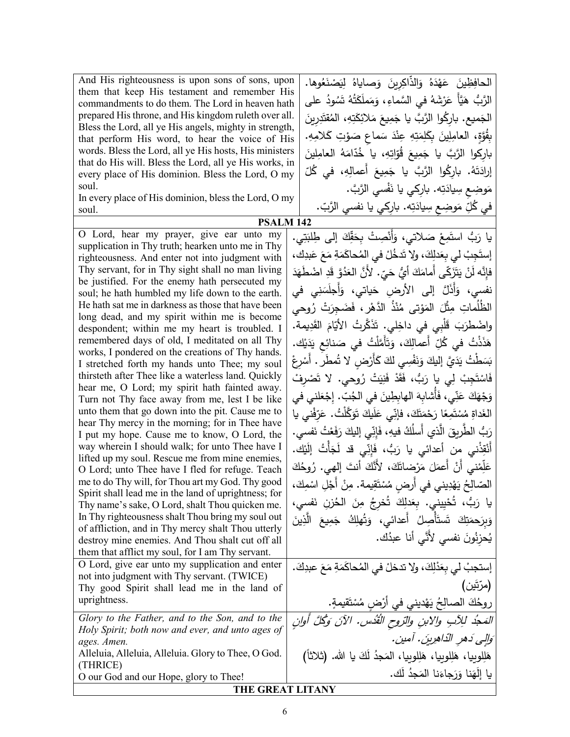And His righteousness is upon sons of sons, upon them that keep His testament and remember His commandments to do them. The Lord in heaven hath prepared His throne, and His kingdom ruleth over all. Bless the Lord, all ye His angels, mighty in strength, that perform His word, to hear the voice of His words. Bless the Lord, all ye His hosts, His ministers that do His will. Bless the Lord, all ye His works, in every place of His dominion. Bless the Lord, O my soul.

In every place of His dominion, bless the Lord, O my soul.

O Lord, hear my prayer, give ear unto my supplication in Thy truth; hearken unto me in Thy righteousness. And enter not into judgment with Thy servant, for in Thy sight shall no man living be justified. For the enemy hath persecuted my soul; he hath humbled my life down to the earth. He hath sat me in darkness as those that have been long dead, and my spirit within me is become despondent; within me my heart is troubled. I remembered days of old, I meditated on all Thy works, I pondered on the creations of Thy hands. I stretched forth my hands unto Thee; my soul thirsteth after Thee like a waterless land. Quickly hear me, O Lord; my spirit hath fainted away. Turn not Thy face away from me, lest I be like unto them that go down into the pit. Cause me to hear Thy mercy in the morning; for in Thee have I put my hope. Cause me to know, O Lord, the way wherein I should walk; for unto Thee have I lifted up my soul. Rescue me from mine enemies, O Lord; unto Thee have I fled for refuge. Teach me to do Thy will, for Thou art my God. Thy good Spirit shall lead me in the land of uprightness; for Thy name's sake, O Lord, shalt Thou quicken me. In Thy righteousness shalt Thou bring my soul out of affliction, and in Thy mercy shalt Thou utterly destroy mine enemies. And Thou shalt cut off all them that afflict my soul, for I am Thy servant. يَدَيْك .<br>ءَ **ٔ** ْ O Lord, give ear unto my supplication and enter not into judgment with Thy servant. (TWICE) Thy good Spirit shall lead me in the land of uprightness. *Glory to the Father, and to the Son, and to the Holy Spirit; both now and ever, and unto ages of ages. Amen.* Alleluia, Alleluia, Alleluia. Glory to Thee, O God. (THRICE) O our God and our Hope, glory to Thee!

الحافِظِينَ عَهْدَهُ وَالذَّاكِرِينَ وَصاياهُ لِيَصْنَعُوها.<br>-الحافِظِينَ عَهْدَهُ وَالذاكِرِينَ وَصاياهُ لِيَصْنَعُوها.<br>الرَّبُّ هَيَّأَ عَرْشَهُ في السَّماءِ، وَمَملَكَتُهُ تَسُودُ على الْجَميع. بارِكُوا الرَّبَّ يا جَمِيعَ مَلائِكَتِهِ، الْمُقْتَدِرِينَ<br>ا .ِ ِه َلام ِت � َ و َ ِ ماع ص َ س ْد ِ ِ عن ِه ت َ ِم َل َ ِ �ك ِین ِل ٍة، العام َُّو ِ�ق ؛<br>' بارِكوا الرَّبَّ يا جَمِيعَ قُوّاتِهِ، يا خُدّامَهُ العامِلينَ<br>مَسْ إرادَتَهُ. بارِكُوا الرَّبَّ يا جَمِيعَ أَعمالِهِ، في كُلّ مَوضِعِ سِيادَتِه. بارِكي يا نَفْسي الرَّبَّ.<br>مُستَفتح في كُلِّ مَوضِعٍ سِيادَتِه. بارِكي يا نفسي الرَّبّ.

**PSALM 142**

يا رَبُّ استَمِعْ صَلاتي، وَأَنْصِتْ بِحَقِّكَ إلى طِلبَتِي. ِك، َبد َ ع َع ِ م َة َم ُحاك ْ في الم ُل َدخ ،َ ولا ت ِك َدل ْ ِ لي �ع َ ِجب إست فإِنَّه لَنْ يَتَزَكّى أَمامَكَ أَيُّ حَيِّ. لأَنَّ العَدُوَّ قَدِ اضْطَهَدَ<br>مُسْتَفَرَّبَ مَّا يَّذَا الْمَسْتَفَرِّدَ فَيَّةٍ مِنْ الْمَسْتَفَرَّدَ الْمَسْلَفَدَ نفسي، وَأَذَلَّ إلى الأرضِ حَياتي، وَأَجلَسَنِي في<br>... الظُلُماتِ مِثْلَ المَوْتي مُنْذُ الدَّهْرِ ، فَضَجِرَتْ رُوحي<br>. ُ واضْطْرَبَ قَلْبِي في داخِلي. تَذَكَّرتُ الأيّامَ القَدِيمة.<br>حَشْفْتُ هَذَذْتُ في كُلِّ أَعمالِكَ، وَتَأَمَّلْتُ في صَنائِعِ يَ<br>. بَسَطْتُ يَدَيَّ إليكَ وَنَفْسِي لكَ كَأَرْضٍ لا تُمطَرُ . أَسْرِعْ<br>ِ <u>ٌ</u> **ٔ** فَاسْتَجِبْ لِي يا رَبُّ، فَقَدْ فَنِيَتْ رُوحي. لا تَصْرِفْ َلني في ْع ِج ّ . إ ُب َ في الج َ ِ الها� ِطین َ ِ أُشا�ه ِي، ف ّ ن َ َ ع َك ْه َج و ْني �ا ِف ّ َر َّ�ْل ُت. ع َ َو َ ت َ�ك ل َ ِي ع ّ ،َ فإن َك ت َ ْم َح ًا ر ِع َم ْ ت ُس ِ م َداة الغ َنِبٌ الطَّرِيقَ الَّذي أَسلُكُ فيهِ، فَإِنِّي إليكَ رَفَعْتُ نَفسي.<br>ئَعْفُلُونَ النَّذي أَسلُكُ فيهِ، فَإِنِّي إليكَ رَفَعْتُ نَفسي. أَنْقِذْني مِن أعدائي يا رَبُّ، فَإِنِّي قد لَجَأْتُ إِلَيْك. عَلِّمْني أَنْ أَعمَلَ مَرْضاتَكَ، لأَنَّكَ أنتَ إلهي. رُوحُكَ<br>-الصّالِحُ يَهْدِيني في أَرضٍ مُسْتَقِيمة. مِنْ أَجْلِ اسْمِكَ،<br>. **ٔ** الصنايح يهدِيدي في ارضٍ مستقِيمه. مِن اجنِ اسمِتِ،<br>يا رَبُّ، تُحْيِينيٍ. بِعَدلِكَ تُخرِجُ مِنَ الحُزنِ نَفسٍي، ْ وَبِرَحمَتِكَ تَستَأْصِلُ أَعدائي، وَتُهلِكُ جَمِيعَ الَّذِينَ<br>م َ يُحزِنُونَ نفسي لأَنَّي أنا عبدُك. إستجبْ لي بِعَدْلِكَ، ولا تدخلْ في المُحاكَمَةِ مَعَ عبدِكَ.<br>.

(مرّتَین) روحُكَ الصالِحُ يَهْديني في أرْضٍ مُسْتَقيمةٍ.<br>مستحدث بِّروح الثُّدُس المَجْدُ للِآبِ والابنِ والرّوحِ القُدْسِ. الآنَ وَكُلَّ أُوانٍ َوَالِي دَهرِ الدّاهِرِينَ. آمين. هَلِلوبِيا، هَلِلوبِيا، المَجدُ لَكَ يا الله. (ثلاثاً)<br>مَلِلوبِيا، هَلِلوبِيا، هَلِلوبِيا، المَجدُ لَكَ يا الله. (ثلاثاً) يا إلهَنا وَرَجاءَنا المَجدُ لك.<br>-

## **THE GREAT LITANY**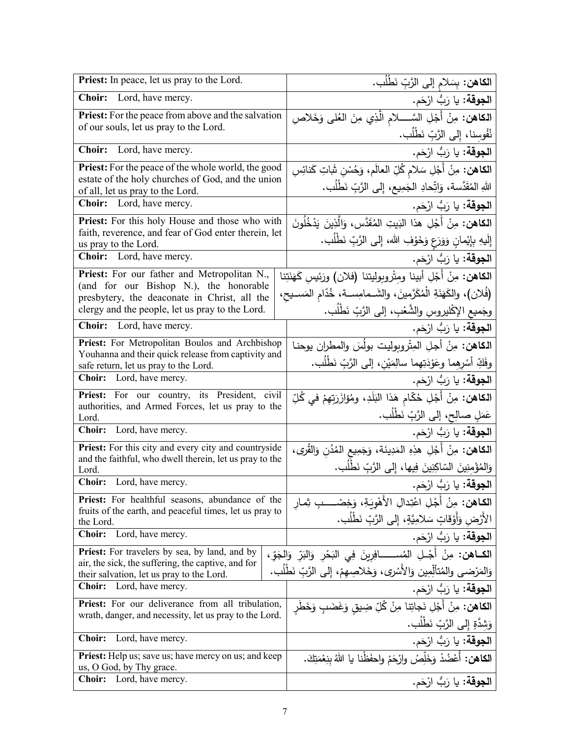| Priest: In peace, let us pray to the Lord.                                                                             | ا <b>لكاهن:</b> بِسَلام إلى الرَّبِّ نَطْلُب <b>ِ</b> .                                  |
|------------------------------------------------------------------------------------------------------------------------|------------------------------------------------------------------------------------------|
| <b>Choir:</b><br>Lord, have mercy.                                                                                     | ا <b>لجوقة:</b> يا رَبُّ ارْحَم.                                                         |
| <b>Priest:</b> For the peace from above and the salvation                                                              | <b>المكاهن:</b> مِنْ أَجْلِ السَّـــــلام الَّذِي مِنَ العُلمي وَخَلاصِ                  |
| of our souls, let us pray to the Lord.                                                                                 | نُفُوسِنا، إِلى الرَّبِّ نَطْلُب.                                                        |
| Lord, have mercy.<br><b>Choir:</b>                                                                                     | ا <b>لجوقة:</b> يا رَبُّ ارْحَم.                                                         |
| <b>Priest:</b> For the peace of the whole world, the good<br>estate of the holy churches of God, and the union         | ا <b>لكاهن:</b> مِنْ أَجْلِ سَلامِ كُلِّ العالَمِ، وَحُسْنِ <del>ثَباتِ كَنائِسِ</del>   |
| of all, let us pray to the Lord.                                                                                       | اللهِ المُقَدَّسة، وَاتِّحادِ الجَمِيع، إِلى الرَّبِّ نَطْلُب.                           |
| <b>Choir:</b> Lord, have mercy.                                                                                        | ا <b>لجوقة:</b> يا رَبُّ ارْحَم.                                                         |
| Priest: For this holy House and those who with                                                                         | ا <b>لكاهن:</b> مِنْ أَجْلِ هذا البَيتِ المُقَدَّسِ، وَالَّذِينَ يَدْخُلُونَ             |
| faith, reverence, and fear of God enter therein, let<br>us pray to the Lord.                                           | إِلَيهِ بِإِيْمانِ وَوَرَعٍ وَخَوْفِ الله، إِلى الرَّبِّ نَطْلُب.                        |
| Choir: Lord, have mercy.                                                                                               | ا <b>لجوقة:</b> يا رَبُّ ارْحَم.                                                         |
| Priest: For our father and Metropolitan N.,                                                                            | ا <b>لكاهن:</b> مِنْ أَجْلِ أبينا ومثْروبوليتنا (فلان) ورَئِيس كَهَنَتِنا                |
| (and for our Bishop N.), the honorable<br>presbytery, the deaconate in Christ, all the                                 | (فُلان)، والكَهَنَةِ الْمُكَرَّمينَ، والشَــمامِســة، خُدّامِ المَســيحِ،                |
| clergy and the people, let us pray to the Lord.                                                                        | وجَميعِ الإكْليروسِ والشَّعْبِ، إلى الرَّبِّ نَطْلُب.                                    |
| Choir: Lord, have mercy.                                                                                               | ا <b>لجوقة:</b> يا رَبُّ ارْحَم.                                                         |
| Priest: For Metropolitan Boulos and Archbishop<br>Youhanna and their quick release from captivity and                  | الكاهن: مِنْ أجلِ الْمِتْروبوليت بولُسَ والمطران يوحنا                                   |
| safe return, let us pray to the Lord.                                                                                  | وفَكِّ أَسْرِهِما وعَوْدَتِهِما سالِمَيْنِ، إلى الرَّبِّ نَطْلُب.                        |
| Choir: Lord, have mercy.                                                                                               | ا <b>لجوقة:</b> يا رَبُّ ارْحَم.                                                         |
| Priest: For our country, its President, civil<br>authorities, and Armed Forces, let us pray to the                     | ا <b>لكاهن:</b> مِنْ أَجْلِ حُكّام هَذا البَلَدِ، ومُؤازَرَتِهِمْ في كُلِّ               |
| Lord.                                                                                                                  | عَمَلٍ صالِحٍ، إلى الرَّبِّ نَطْلُبٍ.                                                    |
| Choir: Lord, have mercy.                                                                                               | ا <b>لجوقة:</b> يا رَبُّ ارْحَم.                                                         |
| <b>Priest:</b> For this city and every city and countryside<br>and the faithful, who dwell therein, let us pray to the | ا <b>لكاهن:</b> مِنْ أَجْلِ هذِهِ المَدِينَة، وَجَمِيعِ المُدُنِ وَالقُرى،               |
| Lord.                                                                                                                  | وَالِمُؤْمِنِينَ السّاكِنِينَ فِيها، إِلَى الرَّبِّ نَطْلُب.                             |
| Choir: Lord, have mercy.                                                                                               | ا <b>لجوقة:</b> يا رَبُّ ارْحَم.                                                         |
| Priest: For healthful seasons, abundance of the<br>fruits of the earth, and peaceful times, let us pray to             | ا <b>لكاهن:</b> مِنْ أَجْلِ اعْتِدالِ الأَهْوِيَةِ، وَخِصْـــــبِ ثِمار                  |
| the Lord.                                                                                                              | الأَرْضِ وَأَوْقَاتٍ سَلامِيَّةٍ، إِلَى الرَّبِّ نَطْلُب.                                |
| <b>Choir:</b><br>Lord, have mercy.                                                                                     | ا <b>لجوقة:</b> يا رَبُّ ارْحَم.                                                         |
| Priest: For travelers by sea, by land, and by<br>air, the sick, the suffering, the captive, and for                    | ا <b>لكــاهن:</b> مِنْ أَجْــلِ المُســــــــافِرِينَ فِي النَحْرِ وَالنَدِّ وَالجَوِّ ، |
| their salvation, let us pray to the Lord.                                                                              | وَالمَرْضى والمُتألِّمِين وَالأَسْرى، وَخَلاصِهِمْ، إِلى الرَّبِّ نَطْلب.                |
| <b>Choir:</b><br>Lord, have mercy.                                                                                     | ا <b>لجوقة:</b> يا رَبُّ ارْحَم.                                                         |
| Priest: For our deliverance from all tribulation,<br>wrath, danger, and necessity, let us pray to the Lord.            | <b>الكاهن:</b> مِنْ أَجْلِ نَجاتِنا مِنْ كُلِّ ضِيقٍ وَغَضَبٍ وَخَطَر                    |
|                                                                                                                        | وَشِدَّةٍ إِلَى الرَّبِّ نَطْلُب.                                                        |
| <b>Choir:</b><br>Lord, have mercy.                                                                                     | ا <b>لجوقة:</b> يا رَبُّ ارْحَم.                                                         |
| <b>Priest:</b> Help us; save us; have mercy on us; and keep<br>us, O God, by Thy grace.                                | ا <b>لكاهن:</b> أَعْضُدْ وَخَلِّصْ وارْحَمْ واحفَظْنا يا اللهُ بنِعْمَتِكَ.              |
| <b>Choir:</b> Lord, have mercy.                                                                                        | ا <b>لجوقة:</b> يا رَبُّ ارْحَم.                                                         |
|                                                                                                                        |                                                                                          |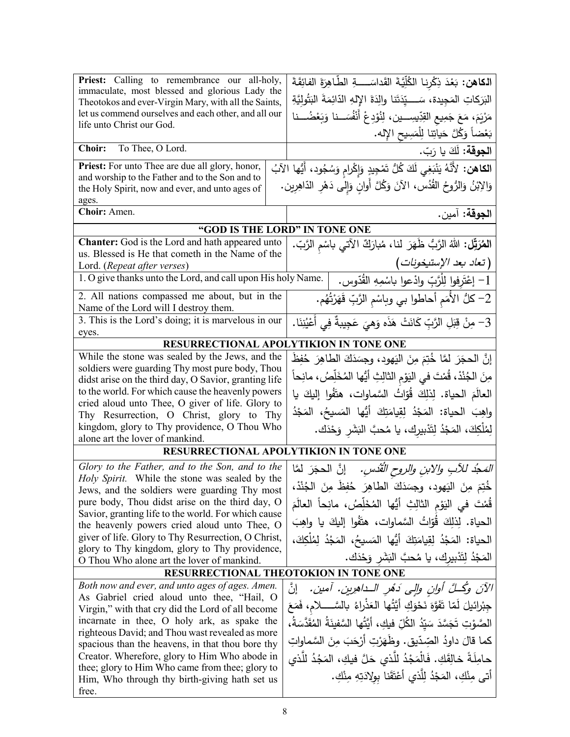| Priest: Calling to remembrance our all-holy,                                                                 | ا <b>لكاهن:</b> بَعْدَ ذِكْرِنا الكُلِّيَّةَ القَداسَــــةِ الطَّاهِرَةَ الفائِقَةَ         |  |
|--------------------------------------------------------------------------------------------------------------|---------------------------------------------------------------------------------------------|--|
| immaculate, most blessed and glorious Lady the                                                               | البَرَكاتِ المَجِيدة، سَــــيّدَتَنا والِدَةَ الإِلهِ الدّائِمَةَ البَتُولِيّةِ             |  |
| Theotokos and ever-Virgin Mary, with all the Saints,<br>let us commend ourselves and each other, and all our | مَرْيَمَ، مَعَ جَمِيعِ القِدِّيسِـــين، لِنُوْدِعْ أَنْفُسَــنا وَبَعْضُـــنا               |  |
| life unto Christ our God.                                                                                    |                                                                                             |  |
| To Thee, O Lord.<br><b>Choir:</b>                                                                            | بَعْضاً وَكُلَّ حَياتِنا لِلْمَسِيحِ الإِله.                                                |  |
|                                                                                                              | ا <b>لجوقة:</b> لَكَ يا رَبّ.                                                               |  |
| <b>Priest:</b> For unto Thee are due all glory, honor,<br>and worship to the Father and to the Son and to    | ا <b>لكاهن:</b> لأَنَّهُ يَنْبَغِي لَكَ كُلُّ تَمْجِيدٍ وَإِكْرامٍ وَسُجُودٍ، أَيُّها الآبُ |  |
| the Holy Spirit, now and ever, and unto ages of                                                              | وَالِابْنُ وَالرُّوحُ القُدُس، الآنَ وَكُلَّ أُوانِ وَإِلى دَهْرِ الدّاهِرِين.              |  |
| ages.                                                                                                        |                                                                                             |  |
| Choir: Amen.                                                                                                 | ا <b>لجوقة:</b> آمين.                                                                       |  |
| "GOD IS THE LORD" IN TONE ONE                                                                                |                                                                                             |  |
| <b>Chanter:</b> God is the Lord and hath appeared unto                                                       | ا <b>لْمُرَتِّل:</b> اللهُ الرَّبُّ ظَهَرَ لنا، مُبارَكٌ الآتي باسْم الرَّبّ.               |  |
| us. Blessed is He that cometh in the Name of the<br>Lord. (Repeat after verses)                              | (تعاد بعد الإستيخونات)                                                                      |  |
| 1. O give thanks unto the Lord, and call upon His holy Name.                                                 | 1– إعْتَرفوا لِلْرَّبِّ وادْعوا باسْمِهِ القُدّوس.                                          |  |
| 2. All nations compassed me about, but in the                                                                |                                                                                             |  |
| Name of the Lord will I destroy them.                                                                        | 2– كلُّ الأَمَم أحاطوا بي وباسْم الرَّبِّ قَهَرْتُهُم.                                      |  |
| 3. This is the Lord's doing; it is marvelous in our                                                          | .<br>3- مِنْ قِبَلِ الرَّبِّ كَانَتْ هَذَه وَهيَ عَجِيبةٌ فِي أَعْيُنِنَا .                 |  |
| eyes.<br>RESURRECTIONAL APOLYTIKION IN TONE ONE                                                              |                                                                                             |  |
| While the stone was sealed by the Jews, and the                                                              | إِنَّ الحجَرَ لَمَّا خُتِمَ مِنَ اليَهودِ، وجسَدَكَ الطاهِرَ حُفِظَ                         |  |
| soldiers were guarding Thy most pure body, Thou                                                              |                                                                                             |  |
| didst arise on the third day, O Savior, granting life                                                        | مِنَ الجُنْدْ، قُمْتَ في النِوْمِ الثالِثِ أَيُّها المُخَلِّصُ، مانِحاً                     |  |
| to the world. For which cause the heavenly powers                                                            | العالَمَ الحياة. لِذلِكَ قُوّاتُ السَّماوات، هتَفُوا إليكَ يا                               |  |
| cried aloud unto Thee, O giver of life. Glory to                                                             | واهِبَ الحياة: المَجْدُ لِقِيامَتِكَ أَيُّها المَسيحُ، المَجْدُ                             |  |
| Thy Resurrection, O Christ, glory to Thy<br>kingdom, glory to Thy providence, O Thou Who                     |                                                                                             |  |
| alone art the lover of mankind.                                                                              | لِمُلْكِكَ، المَجْدُ لِتَدْبِيرِكَ، يا مُحبَّ البَشَرِ وَحْدَكَ.                            |  |
| RESURRECTIONAL APOLYTIKION IN TONE ONE                                                                       |                                                                                             |  |
| Glory to the Father, and to the Son, and to the                                                              | <i>التَّمَجُّدُ للآبِ والابنِ والروحِ القُدْسِ.</i> إنَّ الحجَرَ لمَّا                      |  |
| Holy Spirit. While the stone was sealed by the                                                               |                                                                                             |  |
| Jews, and the soldiers were guarding Thy most                                                                | خُتِمَ مِنَ اليَهودِ، وجِسَدَكَ الطاهِرَ حُفِظَ مِنَ الْجُنْدْ،                             |  |
| pure body, Thou didst arise on the third day, O<br>Savior, granting life to the world. For which cause       | قُمْتَ في اليَوْمِ الثالِثِ أَيُّها المُخَلِّصُ، مانِحاً العالَمَ                           |  |
| the heavenly powers cried aloud unto Thee, O                                                                 | الحياة. لِذلِكَ قُوّاتُ السَّماوات، هتَفُوا إليكَ يا واهِبَ                                 |  |
| giver of life. Glory to Thy Resurrection, O Christ,                                                          | الحياة: المَجْدُ لِقِيامَتِكَ أَيُّها المَسيحُ، المَجْدُ لِمُلْكِكَ،                        |  |
| glory to Thy kingdom, glory to Thy providence,                                                               | المَجْدُ لِتَدْبِيرِك، يا مُحبَّ البَشَرِ وَحْدَك.                                          |  |
| O Thou Who alone art the lover of mankind.                                                                   | RESURRECTIONAL THEOTOKION IN TONE ONE                                                       |  |
|                                                                                                              |                                                                                             |  |
| Both now and ever, and unto ages of ages. Amen.<br>As Gabriel cried aloud unto thee, "Hail, O                | ٳڹٞ<br>الآنَ وكُلِّ أُولِنٍ وإِلِي دَهْرِ الـداهِرِينِ. آمينِ.                              |  |
| Virgin," with that cry did the Lord of all become                                                            | جِبْرائيلَ لَمّا تَفَوَّهَ نَحْوَكِ أَيَّتُها العَذْراءُ بالسَّـــــلام، فَمَعَ             |  |
| incarnate in thee, O holy ark, as spake the                                                                  | الْصَّوْتِ تَجَسَّدَ سَيِّدُ الكُلِّ فيكِ، أَيَّتُها السَّفينَةُ الْمُقَدَّسَةُ،            |  |
| righteous David; and Thou wast revealed as more                                                              | كما قالَ داودُ الصِّدّيقِ. وظُهَرْتِ أَرْجَبَ مِنَ السَّماواتِ                              |  |
| spacious than the heavens, in that thou bore thy                                                             |                                                                                             |  |
| Creator. Wherefore, glory to Him Who abode in<br>thee; glory to Him Who came from thee; glory to             | حامِلَةً خالِقَكِ. فَالْمَجْدُ للَّذي حَلَّ فيكِ، المَجُدُ للَّذي                           |  |
| Him, Who through thy birth-giving hath set us                                                                | أتي مِنْكِ، المَجْدُ لِلَّذي أَعْتَقَنا بولِادَتِهِ مِنْكِ.                                 |  |
| free.                                                                                                        |                                                                                             |  |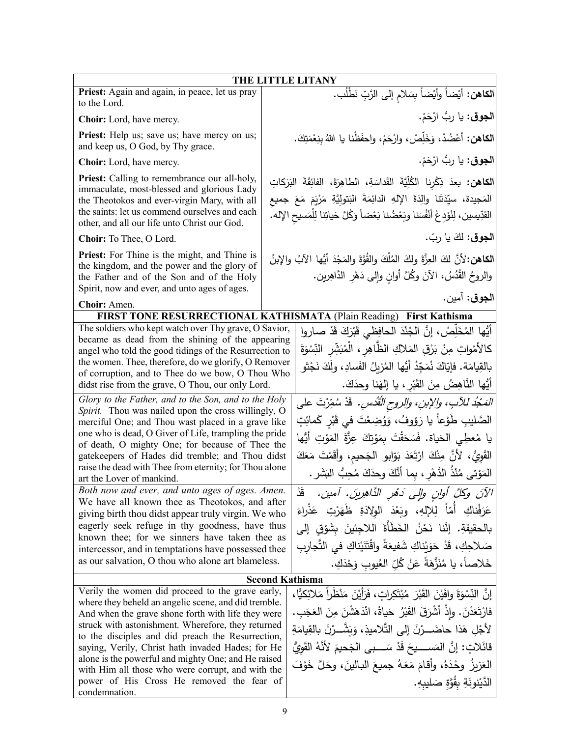|                                                                                                                                                                                                                                                                                                                                                                                                                                                                                                          | THE LITTLE LITANY                                                                                                                                                                                                                                                                                                                                                                                                                   |
|----------------------------------------------------------------------------------------------------------------------------------------------------------------------------------------------------------------------------------------------------------------------------------------------------------------------------------------------------------------------------------------------------------------------------------------------------------------------------------------------------------|-------------------------------------------------------------------------------------------------------------------------------------------------------------------------------------------------------------------------------------------------------------------------------------------------------------------------------------------------------------------------------------------------------------------------------------|
| Priest: Again and again, in peace, let us pray<br>to the Lord.                                                                                                                                                                                                                                                                                                                                                                                                                                           | الكاهن: أيْضاً وأيْضاً بِسَلامِ إلى الرَّبِّ نَطْلُب.                                                                                                                                                                                                                                                                                                                                                                               |
| Choir: Lord, have mercy.                                                                                                                                                                                                                                                                                                                                                                                                                                                                                 | ا <b>لجوق</b> : يا ربُ ارْحَمْ.                                                                                                                                                                                                                                                                                                                                                                                                     |
| Priest: Help us; save us; have mercy on us;<br>and keep us, O God, by Thy grace.                                                                                                                                                                                                                                                                                                                                                                                                                         | الكاهن: أعْضُدْ، وَخَلِّصْ، وارْحَمْ، واحفَظْنا يا اللهُ بِنِعْمَتِكَ.                                                                                                                                                                                                                                                                                                                                                              |
| Choir: Lord, have mercy.                                                                                                                                                                                                                                                                                                                                                                                                                                                                                 | ا <b>لجوق</b> : يا ربُّ ارْحَمْ.                                                                                                                                                                                                                                                                                                                                                                                                    |
| <b>Priest:</b> Calling to remembrance our all-holy,<br>immaculate, most-blessed and glorious Lady<br>the Theotokos and ever-virgin Mary, with all<br>the saints: let us commend ourselves and each<br>other, and all our life unto Christ our God.                                                                                                                                                                                                                                                       | ا <b>لكاهن:</b> بعدَ ذِكْرِنا الكُلِّيَّةَ القَداسَةِ، الطاهِرَةَ، الفائِقَةَ البَرَكاتِ<br>المَجيدة، سيِّدَتَنا والِدَةَ الإِلهِ الدائِمَةَ البَتولِيَّةِ مَرْيَمَ مَعَ جميع<br>القدِّيسين، لِنُوْدِعْ أَنْفُسَنا وبَعْضُنا بَعْضاً وَكُلَّ حَياتِنا لِلْمَسيحِ الإله.                                                                                                                                                             |
| Choir: To Thee, O Lord.                                                                                                                                                                                                                                                                                                                                                                                                                                                                                  | ا <b>لجوق</b> : لكَ يا ربّ.                                                                                                                                                                                                                                                                                                                                                                                                         |
| <b>Priest:</b> For Thine is the might, and Thine is<br>the kingdom, and the power and the glory of<br>the Father and of the Son and of the Holy<br>Spirit, now and ever, and unto ages of ages.                                                                                                                                                                                                                                                                                                          | الكاهن:لأنَّ لكَ العِزَّةَ ولكَ المُلْكَ والقُوَّةَ والمَجْدَ أيُّها الآبُ والإبنُ<br>والروحُ القُدُسُ، الآنَ وكُلَّ أوانٍ وإِلى دَهْرِ الدَّاهِرين.<br>ا <b>لجوق</b> : آمين.                                                                                                                                                                                                                                                       |
| Choir: Amen.                                                                                                                                                                                                                                                                                                                                                                                                                                                                                             |                                                                                                                                                                                                                                                                                                                                                                                                                                     |
|                                                                                                                                                                                                                                                                                                                                                                                                                                                                                                          | FIRST TONE RESURRECTIONAL KATHISMATA (Plain Reading) First Kathisma                                                                                                                                                                                                                                                                                                                                                                 |
| The soldiers who kept watch over Thy grave, O Savior,<br>became as dead from the shining of the appearing<br>angel who told the good tidings of the Resurrection to<br>the women. Thee, therefore, do we glorify, O Remover<br>of corruption, and to Thee do we bow, O Thou Who<br>didst rise from the grave, O Thou, our only Lord.                                                                                                                                                                     | أَيُّها المُخَلِّصُ، إنَّ الجُنْدَ الحافِظي قَبْرَكَ قَدْ صاروا<br>كالأمْواتِ مِنْ بَرْقِ المَلاكِ الظَّاهِرِ ، الْمُبَشِّرِ النِّسْوَةَ<br>بالقِيامَة. فإيّاكَ نُمَجِّدُ أَيُّها المُزيلُ الفَسادِ، ولَكَ نَجْثو<br>أَيُّها النَّاهِضُ مِنَ القَبْرِ ، يا إلهَنا وحدَكَ.                                                                                                                                                           |
| Glory to the Father, and to the Son, and to the Holy<br>Spirit. Thou was nailed upon the cross willingly, O<br>merciful One; and Thou wast placed in a grave like<br>one who is dead, O Giver of Life, trampling the pride<br>of death, O mighty One; for because of Thee the<br>gatekeepers of Hades did tremble; and Thou didst<br>raise the dead with Thee from eternity; for Thou alone<br>art the Lover of mankind.                                                                                 | المَجْدُ للآبِ، والإبنِ، والروحِ الْقُدْسِ. قَدْ سُمِّرْتَ على<br>الصَّليبِ طَوْعاً يا رَؤوفُ، وَوُضِعْتَ في قَبْرِ كَمائِتٍ<br>يا مُعطِي الحَياة. فَسَحَقْتَ بِمَوْتِكَ عِزَّةَ المَوْتِ أَيُّها<br>القَوِيُّ، لأنَّ مِنْكَ ارْتَعَدَ بَوّابو الْجَحيم، وأقَمْتَ مَعَكَ<br>المَوْتي مُنْذُ الدَّهْرِ ، بِما أَنَّكَ وحدَكَ مُحِبُّ البَشَرِ .                                                                                      |
| Both now and ever, and unto ages of ages. Amen.<br>We have all known thee as Theotokos, and after                                                                                                                                                                                                                                                                                                                                                                                                        | $\mathring{\underline{\mathfrak{a}}}$<br>الآنَ وكلَّ أُوانِ وإلى دَهْرِ الدَّاهِرِينَ. آمين.                                                                                                                                                                                                                                                                                                                                        |
| giving birth thou didst appear truly virgin. We who<br>eagerly seek refuge in thy goodness, have thus<br>known thee; for we sinners have taken thee as<br>intercessor, and in temptations have possessed thee<br>as our salvation, O thou who alone art blameless.                                                                                                                                                                                                                                       | عَرَفْناكِ أَمَّأَ لِلإِلهِ، وبَعْدَ الوِلادَةِ ظَهَرْتِ عَذْراءَ<br>بالحقيقةِ. إنَّنا نَحْنُ الخَطَأَةَ اللاجِئينَ بِشَوْقِ إلى<br>صَلاحِكِ، قَدْ حَوَيْناكِ شَفيعَةً واقْتَنَيْناكِ في النَّجاربِ<br>خَلاصاً، يا مُنَزَّهَةً عَنْ كُلِّ العُيوبِ وَحْدَكِ.                                                                                                                                                                        |
|                                                                                                                                                                                                                                                                                                                                                                                                                                                                                                          | <b>Second Kathisma</b>                                                                                                                                                                                                                                                                                                                                                                                                              |
| Verily the women did proceed to the grave early,<br>where they beheld an angelic scene, and did tremble.<br>And when the grave shone forth with life they were<br>struck with astonishment. Wherefore, they returned<br>to the disciples and did preach the Resurrection,<br>saying, Verily, Christ hath invaded Hades; for He<br>alone is the powerful and mighty One; and He raised<br>with Him all those who were corrupt, and with the<br>power of His Cross He removed the fear of<br>condemnation. | إِنَّ النِّسْوَةَ وافَيْنَ الْقَبْرَ مُبْتَكِراتٍ، فَرَأَيْنَ مَنْظَراً مَلائِكيًّا،<br>فَارْتَعَدْنَ. وإذْ أَشْرَقَ القَبْرُ حَياةً، انْدَهَشْنَ مِنَ الْعَجَبِ.<br>لأَجْلِ هَذا حاضَـــرْنَ إِلَى التَّلاميذِ، وَبَشَّــرْنَ بِالقِيامَةِ<br>قائَلاتِ: إنَّ المَســــدِحَ قَدْ سَــــبِي الْجَحيمَ لأَنَّهُ الْقَوِيُّ<br>العَزِيزُ ۖ وِحْدَهُ، وأَقامَ مَعَهُ جميعَ البالينَ، وحَلَّ خَوْفَ<br>الدَّيْنونَةِ بِقُوَّةِ صَليبِهِ. |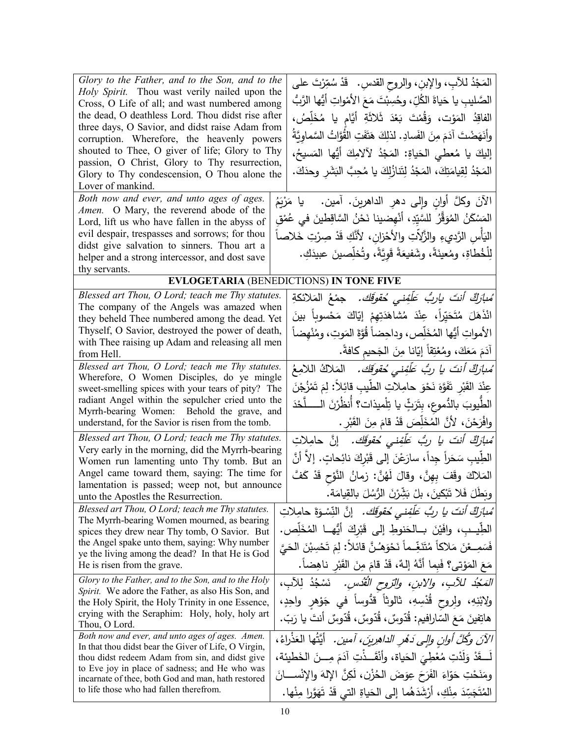| Glory to the Father, and to the Son, and to the<br>Holy Spirit. Thou wast verily nailed upon the<br>Cross, O Life of all; and wast numbered among<br>the dead, O deathless Lord. Thou didst rise after<br>three days, O Savior, and didst raise Adam from<br>corruption. Wherefore, the heavenly powers<br>shouted to Thee, O giver of life; Glory to Thy<br>passion, O Christ, Glory to Thy resurrection,<br>Glory to Thy condescension, O Thou alone the<br>Lover of mankind.<br>Both now and ever, and unto ages of ages.<br>Amen. O Mary, the reverend abode of the<br>Lord, lift us who have fallen in the abyss of<br>evil despair, trespasses and sorrows; for thou<br>didst give salvation to sinners. Thou art a | المَجْدُ للآبِ، والإبنِ، والروح القدسِ. ۖ قَدْ سُمِّرْتَ علـَى<br>الصَّليبِ يا حَياةَ الكُلِّ، وحُسِبْتَ مَعَ الأَمْواتِ أَيُّها الرَّبُّ<br>الفاقِدُ المَوْت، وَقُمْتَ بَعْدَ ثَلاثَةِ أَيَّامٍ يا مُخَلِّصُ،<br>وأَنَهَضْتَ آدَمَ مِنَ الفَسادِ. لذلِكَ هَتَفَتِ القُوَّاتُ السَّماويَّةُ<br>إليكَ يا مُعطى الحَياةِ: المَجْدُ لآلامِكَ أَيُّها المَسيحُ،<br>المَجْدُ لِقِيامَتِكَ، المَجْدُ لِتَنازُلِكَ يا مُحِبَّ البَشَرِ وحدَكَ.<br>الآنَ وكلَّ أُوانِ وإلى دهرِ الداهرينَ. آمين.   يا مَرْيَمُ<br>المَسْكَنُ المُوَقِّرُ للسَّيِّدِ، أَنْهِضينا نَحْنُ السَّاقِطينَ في عُمْق<br>اليَأْسِ الرَّديءِ والزَّلاتِ والأَحْزانِ، لأَنَّكِ قَدْ صِرْتِ خَلاصاً |
|---------------------------------------------------------------------------------------------------------------------------------------------------------------------------------------------------------------------------------------------------------------------------------------------------------------------------------------------------------------------------------------------------------------------------------------------------------------------------------------------------------------------------------------------------------------------------------------------------------------------------------------------------------------------------------------------------------------------------|-----------------------------------------------------------------------------------------------------------------------------------------------------------------------------------------------------------------------------------------------------------------------------------------------------------------------------------------------------------------------------------------------------------------------------------------------------------------------------------------------------------------------------------------------------------------------------------------------------------------------------------------------------------------|
| helper and a strong intercessor, and dost save                                                                                                                                                                                                                                                                                                                                                                                                                                                                                                                                                                                                                                                                            | لِلْخُطاةِ، ومُعينَةً، وشَفيعَةً قَوِيَّةً، وتُخلِّصينَ عبيدَكِ.                                                                                                                                                                                                                                                                                                                                                                                                                                                                                                                                                                                                |
| thy servants.                                                                                                                                                                                                                                                                                                                                                                                                                                                                                                                                                                                                                                                                                                             |                                                                                                                                                                                                                                                                                                                                                                                                                                                                                                                                                                                                                                                                 |
|                                                                                                                                                                                                                                                                                                                                                                                                                                                                                                                                                                                                                                                                                                                           | <b>EVLOGETARIA (BENEDICTIONS) IN TONE FIVE</b>                                                                                                                                                                                                                                                                                                                                                                                                                                                                                                                                                                                                                  |
| Blessed art Thou, O Lord; teach me Thy statutes.                                                                                                                                                                                                                                                                                                                                                                                                                                                                                                                                                                                                                                                                          | ُ <i>مْبِأَرِكٌ أَنتَ يارِبُّ عَلَّفِنى حُقوقَكَ.</i> جمْعُ المَلائكةِ                                                                                                                                                                                                                                                                                                                                                                                                                                                                                                                                                                                          |
| The company of the Angels was amazed when<br>they beheld Thee numbered among the dead. Yet                                                                                                                                                                                                                                                                                                                                                                                                                                                                                                                                                                                                                                | انْذَهَلَ مُتَحَيِّراً، عِنْدَ مُشاهَدَتِهِمْ إِيّاكَ مَحْسوباً بينَ                                                                                                                                                                                                                                                                                                                                                                                                                                                                                                                                                                                            |
| Thyself, O Savior, destroyed the power of death,                                                                                                                                                                                                                                                                                                                                                                                                                                                                                                                                                                                                                                                                          | الأمواتِ أيُّها المُخَلِّص، وداحِضاً قُوَّةَ المَوتِ، ومُنْهضاً                                                                                                                                                                                                                                                                                                                                                                                                                                                                                                                                                                                                 |
| with Thee raising up Adam and releasing all men                                                                                                                                                                                                                                                                                                                                                                                                                                                                                                                                                                                                                                                                           |                                                                                                                                                                                                                                                                                                                                                                                                                                                                                                                                                                                                                                                                 |
| from Hell.                                                                                                                                                                                                                                                                                                                                                                                                                                                                                                                                                                                                                                                                                                                | آدَمَ مَعَكَ، ومُعْتِقاً إِيّانا مِنَ الْجَحيمِ كافةً.                                                                                                                                                                                                                                                                                                                                                                                                                                                                                                                                                                                                          |
| Blessed art Thou, O Lord; teach me Thy statutes.<br>Wherefore, O Women Disciples, do ye mingle                                                                                                                                                                                                                                                                                                                                                                                                                                                                                                                                                                                                                            | مُ <i>بارَكٌ أنتَ يا ربُّ عَلَّفِنى مُقوقِك.</i> المَلاكُ اللامِعُ                                                                                                                                                                                                                                                                                                                                                                                                                                                                                                                                                                                              |
| sweet-smelling spices with your tears of pity? The                                                                                                                                                                                                                                                                                                                                                                                                                                                                                                                                                                                                                                                                        | عِنْدَ القَبْرِ تَفَوَّهَ نَحْوَ حامِلاتِ الطِّيبِ قائِلاً: لِمَ تَمْزُجْنَ                                                                                                                                                                                                                                                                                                                                                                                                                                                                                                                                                                                     |
| radiant Angel within the sepulcher cried unto the                                                                                                                                                                                                                                                                                                                                                                                                                                                                                                                                                                                                                                                                         | الطّيوبَ بالدُّموعِ، بِتَرَثٍّ يا تِلْميذات؟ أَنظُرْنَ الـــــلَّحْدَ                                                                                                                                                                                                                                                                                                                                                                                                                                                                                                                                                                                           |
| Myrrh-bearing Women: Behold the grave, and                                                                                                                                                                                                                                                                                                                                                                                                                                                                                                                                                                                                                                                                                |                                                                                                                                                                                                                                                                                                                                                                                                                                                                                                                                                                                                                                                                 |
| understand, for the Savior is risen from the tomb.                                                                                                                                                                                                                                                                                                                                                                                                                                                                                                                                                                                                                                                                        | وافْرَحْنَ، لأَنَّ المُخَلِّصَ قَدْ قامَ مِنَ القَبْرِ .                                                                                                                                                                                                                                                                                                                                                                                                                                                                                                                                                                                                        |
| Blessed art Thou, O Lord; teach me Thy statutes.<br>Very early in the morning, did the Myrrh-bearing                                                                                                                                                                                                                                                                                                                                                                                                                                                                                                                                                                                                                      | مُ <i>بازڭ أنتَ يا ربُ عَلَّفِني حُقوقَك.</i> إنَّ حامِلاتِ                                                                                                                                                                                                                                                                                                                                                                                                                                                                                                                                                                                                     |
| Women run lamenting unto Thy tomb. But an                                                                                                                                                                                                                                                                                                                                                                                                                                                                                                                                                                                                                                                                                 | الطِيبِ سَحَراً جِداً، سارَعْنَ إلى قَبْرِكَ نائِحاتٍ. إلاّ أنَّ                                                                                                                                                                                                                                                                                                                                                                                                                                                                                                                                                                                                |
| Angel came toward them, saying: The time for                                                                                                                                                                                                                                                                                                                                                                                                                                                                                                                                                                                                                                                                              | المَلاكَ وقَفَ بِهِنَّ، وقالَ لَهُنَّ: زمانُ النَّوْحِ قَدْ كَفَّ                                                                                                                                                                                                                                                                                                                                                                                                                                                                                                                                                                                               |
| lamentation is passed; weep not, but announce                                                                                                                                                                                                                                                                                                                                                                                                                                                                                                                                                                                                                                                                             | وبَطَلَ فَلا تَبْكينَ، بِلْ بَشِّرْنَ الرُّسُلَ بِالْقِيامَةِ.                                                                                                                                                                                                                                                                                                                                                                                                                                                                                                                                                                                                  |
| unto the Apostles the Resurrection.                                                                                                                                                                                                                                                                                                                                                                                                                                                                                                                                                                                                                                                                                       |                                                                                                                                                                                                                                                                                                                                                                                                                                                                                                                                                                                                                                                                 |
| Blessed art Thou, O Lord; teach me Thy statutes.<br>The Myrrh-bearing Women mourned, as bearing                                                                                                                                                                                                                                                                                                                                                                                                                                                                                                                                                                                                                           | ُ <i>مْبارَكٌ أَنتَ يا ربُّ عَلَّفِني مُقوقَك.</i> إنَّ النِّسْوَةَ حامِلاتِ                                                                                                                                                                                                                                                                                                                                                                                                                                                                                                                                                                                    |
| spices they drew near Thy tomb, O Savior. But                                                                                                                                                                                                                                                                                                                                                                                                                                                                                                                                                                                                                                                                             | الطِّيــب، وافَيْنَ بــالحَنوطِ إلى قَبْرِكَ أَيُّهــا المُخَلِّص.                                                                                                                                                                                                                                                                                                                                                                                                                                                                                                                                                                                              |
| the Angel spake unto them, saying: Why number                                                                                                                                                                                                                                                                                                                                                                                                                                                                                                                                                                                                                                                                             | فَسَمِــعْنَ مَلاكاً مُتَنَغِّــماً نَحْوَهُـنَّ قائلا: لِمَ تَحْسِبْنَ الْحَيَّ                                                                                                                                                                                                                                                                                                                                                                                                                                                                                                                                                                                |
| ye the living among the dead? In that He is God<br>He is risen from the grave.                                                                                                                                                                                                                                                                                                                                                                                                                                                                                                                                                                                                                                            | مَعَ المَوْتِي؟ فَبِما أَنَّهُ إِلَٰهٌ، قَدْ قَامَ مِنَ القَبْرِ ناهِضاً.                                                                                                                                                                                                                                                                                                                                                                                                                                                                                                                                                                                       |
| Glory to the Father, and to the Son, and to the Holy                                                                                                                                                                                                                                                                                                                                                                                                                                                                                                                                                                                                                                                                      |                                                                                                                                                                                                                                                                                                                                                                                                                                                                                                                                                                                                                                                                 |
| Spirit. We adore the Father, as also His Son, and                                                                                                                                                                                                                                                                                                                                                                                                                                                                                                                                                                                                                                                                         | الْمَجْدُ للآبِ، والابنِ، والتروحِ الْقُدْسِ. ۚ نَسْجُدُ لِلآبِ،                                                                                                                                                                                                                                                                                                                                                                                                                                                                                                                                                                                                |
| the Holy Spirit, the Holy Trinity in one Essence,                                                                                                                                                                                                                                                                                                                                                                                                                                                                                                                                                                                                                                                                         | ولابْنِهِ، ولروح قُدْسِهِ، ثالوثاً قدُّوساً في جَوْهر واحِدٍ،                                                                                                                                                                                                                                                                                                                                                                                                                                                                                                                                                                                                   |
| crying with the Seraphim: Holy, holy, holy art<br>Thou, O Lord.                                                                                                                                                                                                                                                                                                                                                                                                                                                                                                                                                                                                                                                           | هاتِفينَ مَعَ السّارافيم: قُدّوسٌ، قُدّوسٌ، قُدّوسٌ أنتَ يا رَبّ.                                                                                                                                                                                                                                                                                                                                                                                                                                                                                                                                                                                               |
| Both now and ever, and unto ages of ages. Amen.                                                                                                                                                                                                                                                                                                                                                                                                                                                                                                                                                                                                                                                                           | الآنَ وكُلَّ أُولِنِ وَإِلَى دَهْرِ الدَاهِرِينَ، آمين. ۖ أَيَّتُها الْعَذْرَاءُ،                                                                                                                                                                                                                                                                                                                                                                                                                                                                                                                                                                               |
| In that thou didst bear the Giver of Life, O Virgin,                                                                                                                                                                                                                                                                                                                                                                                                                                                                                                                                                                                                                                                                      |                                                                                                                                                                                                                                                                                                                                                                                                                                                                                                                                                                                                                                                                 |
| thou didst redeem Adam from sin, and didst give<br>to Eve joy in place of sadness; and He who was                                                                                                                                                                                                                                                                                                                                                                                                                                                                                                                                                                                                                         | لَــقَدْ وَلَدْتِ مُعْطِيَ الحَياة، وأَنْقَــذْتِ آدَمَ مِـــنَ الخَطيئة،                                                                                                                                                                                                                                                                                                                                                                                                                                                                                                                                                                                       |
| incarnate of thee, both God and man, hath restored                                                                                                                                                                                                                                                                                                                                                                                                                                                                                                                                                                                                                                                                        | ومَنَحْتِ حَوّاءَ الفَرَحَ عِوَضَ الحُزْنِ، لَكِنَّ الإِلهَ والإِنْســـانَ                                                                                                                                                                                                                                                                                                                                                                                                                                                                                                                                                                                      |
| to life those who had fallen therefrom.                                                                                                                                                                                                                                                                                                                                                                                                                                                                                                                                                                                                                                                                                   | الْمُتَجَسِّدَ مِنْكِ، أَرْشَدَهُما إِلَى الْحَياةِ الَّتِي قَدْ تَهَوَّرا مِنْها.                                                                                                                                                                                                                                                                                                                                                                                                                                                                                                                                                                              |
|                                                                                                                                                                                                                                                                                                                                                                                                                                                                                                                                                                                                                                                                                                                           |                                                                                                                                                                                                                                                                                                                                                                                                                                                                                                                                                                                                                                                                 |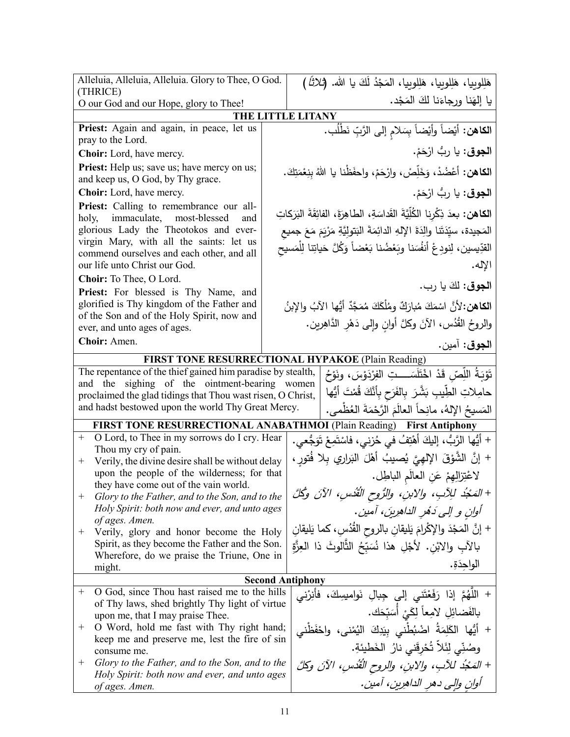| Alleluia, Alleluia, Alleluia. Glory to Thee, O God.<br>(THRICE)                                                   | هَلِلوبِيا، هَلِلوبِيا، هَلِلوبِيا، المَجْدُ لَكَ يا الله. (ثلاثًا)                      |
|-------------------------------------------------------------------------------------------------------------------|------------------------------------------------------------------------------------------|
| O our God and our Hope, glory to Thee!                                                                            | يا إلهَنا ورجاءَنا لكَ المَجْد.                                                          |
|                                                                                                                   | THE LITTLE LITANY                                                                        |
| Priest: Again and again, in peace, let us                                                                         | ا <b>لكاهن:</b> أيْضاً وأيْضاً بِسَلامِ إلى الرَّبِّ نَطْلُب.                            |
| pray to the Lord.                                                                                                 |                                                                                          |
| Choir: Lord, have mercy.                                                                                          | ا <b>لجوق</b> : يا ربُّ ارْحَمْ.                                                         |
| Priest: Help us; save us; have mercy on us;<br>and keep us, O God, by Thy grace.                                  | ا <b>لكاهن:</b> أعْضُدْ، وَخَلِّصْ، وارْحَمْ، واحفَظْنا يا اللهُ بِنِعْمَتِكَ.           |
| Choir: Lord, have mercy.                                                                                          | ا <b>لجوق</b> : يا ربُّ ارْحَمْ.                                                         |
| Priest: Calling to remembrance our all-<br>holy, immaculate, most-blessed<br>and                                  | ا <b>لكاهن:</b> بعدَ ذِكْرِنا الكُلِّيَّةَ القَداسَةِ، الطاهِرَةَ، الفائِقَةَ البَرَكاتِ |
| glorious Lady the Theotokos and ever-                                                                             | المَجيدة، سيِّدَتَنا والِدَةَ الإِلهِ الدائِمَةَ البَتولِيَّةِ مَرْيَمَ مَعَ جميع        |
| virgin Mary, with all the saints: let us                                                                          | القدِّيسين، لِنودِعْ أَنفُسَنا وبَعْضُنا بَعْضاً وَكُلَّ حَياتِنا لِلْمَسيح              |
| commend ourselves and each other, and all<br>our life unto Christ our God.                                        | الإله.                                                                                   |
| Choir: To Thee, O Lord.                                                                                           |                                                                                          |
| Priest: For blessed is Thy Name, and                                                                              | ا <b>لجوق</b> : لكَ يا رب.                                                               |
| glorified is Thy kingdom of the Father and                                                                        | ا <b>لكاهن:</b> لأنَّ اسْمَكَ مُبارَكٌ ومُلْكَكَ مُمَجَّدٌ أيُّها الآبُ والإبنُ          |
| of the Son and of the Holy Spirit, now and<br>ever, and unto ages of ages.                                        | والروحُ القُدُس، الأنَ وكلَّ أوانِ وإلى دَهْرِ الدَّاهِرِين.                             |
| Choir: Amen.                                                                                                      | ا <b>لجوق</b> : آمين.                                                                    |
|                                                                                                                   | FIRST TONE RESURRECTIONAL HYPAKOE (Plain Reading)                                        |
| The repentance of the thief gained him paradise by stealth,                                                       | تَوْبَةُ اللِّصّ قَدْ اخْتَلَسَــــدِّ الفِرْدَوْسَ، ونَوْحُ                             |
| and the sighing of the ointment-bearing women                                                                     | حامِلاتِ الطِّيبِ بَشَّرَ بِالفَرَحِ بِأَنَّكَ قُمْتَ أَيُّها                            |
| proclaimed the glad tidings that Thou wast risen, O Christ,<br>and hadst bestowed upon the world Thy Great Mercy. |                                                                                          |
|                                                                                                                   | المَسيحُ اﻹلهُ، مانِحاً العالَمَ الرَّحْمَةَ العُظْمي.                                   |
|                                                                                                                   | FIRST TONE RESURRECTIONAL ANABATHMOI (Plain Reading) First Antiphony                     |
| O Lord, to Thee in my sorrows do I cry. Hear<br>$^{+}$<br>Thou my cry of pain.                                    | + أَيُّها الرَّبُّ، إليكَ أَهْتِفُ في حُزني، فاسْتَمِعْ تَوَجُّعي.                       |
| Verily, the divine desire shall be without delay<br>$^{+}$                                                        | + إنَّ الشَّوْقَ الإلهِيَّ يُصيبُ أهْلَ البَراري بِلا فُتورٍ ،                           |
| upon the people of the wilderness; for that                                                                       | لاعْتِزالِهِمْ عَنِ العالَمِ الباطِل.                                                    |
| they have come out of the vain world.<br>Glory to the Father, and to the Son, and to the<br>$^+$                  | + المَجْدُ للِأَبِ، ولِلابنِ، والرُّوحِ القُدْسِ، الآنَ وكُلَّ                           |
| Holy Spirit: both now and ever, and unto ages                                                                     | آوان و إلى دَهُر الداهرِينَ، آمين.                                                       |
| of ages. Amen.<br>Verily, glory and honor become the Holy<br>$^+$                                                 | + إنَّ المَجْدَ والإكْرامَ يَليقانِ بالروحِ القُدُسِ، كما يَليقانِ                       |
| Spirit, as they become the Father and the Son.                                                                    | بِالآبِ والِابْنِ. لأَجْلِ هذا نُسَبِّحُ الثَّالوثَ ذا العِزَّةِ                         |
| Wherefore, do we praise the Triune, One in<br>might.                                                              | الواحدَةِ.                                                                               |
|                                                                                                                   | <b>Second Antiphony</b>                                                                  |
| O God, since Thou hast raised me to the hills<br>$^{+}$                                                           | + اللَّهُمَّ إذا رَفَعْتَنى إلى جِبالِ نَوامسِكَ، فأنِرْني                               |
| of Thy laws, shed brightly Thy light of virtue                                                                    | بالفَضائِلِ لامِعاً لِكَيْ أَسَبّحَك.                                                    |
| upon me, that I may praise Thee.<br>O Word, hold me fast with Thy right hand;<br>$^+$                             | + أَيُّها الكَلِمَةُ اضْبُطْنى بِيَدِكَ اليُمْنى، واحْفَظْنى                             |
| keep me and preserve me, lest the fire of sin                                                                     | وصُنِّى لِئَلاَّ تُحْرِقَني نارُ  الخَطيئةِ.                                             |
| consume me.<br>Glory to the Father, and to the Son, and to the<br>$^+$                                            | + المَجْدُ للآبِ، والابنِ، والروح الْقُدُسِ، الآنَ وكِلَّ                                |
| Holy Spirit: both now and ever, and unto ages                                                                     |                                                                                          |
| of ages. Amen.                                                                                                    | أوان والى دهر الداهرين، آمين.                                                            |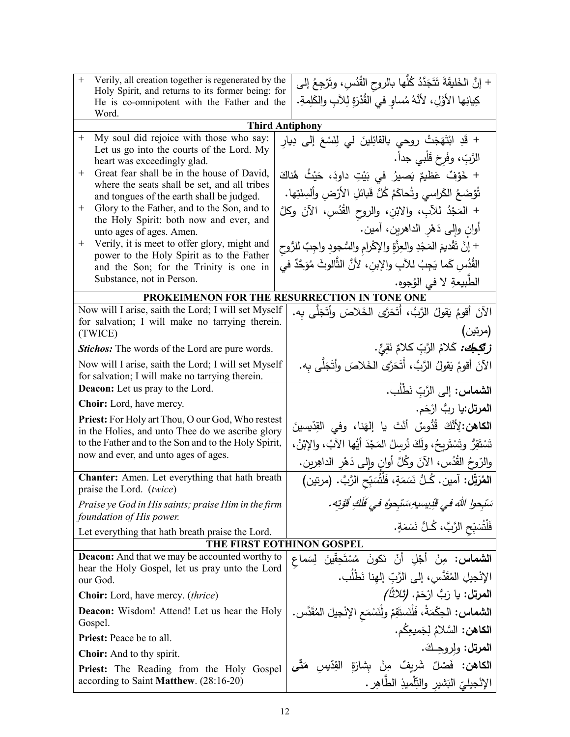| $+$<br>Verily, all creation together is regenerated by the<br>Holy Spirit, and returns to its former being: for<br>He is co-omnipotent with the Father and the<br>Word. | + إنَّ الخَليقَةَ تَتَجَدَّدُ كُلُّها بالروح القُدُسِ، وتَرْجِعُ إلى<br>كِيانِها الأَوَّلِ، لأَنَّهُ مُساوٍ في القُدْرَةِ لِلآبِ والكَلِمةِ. |
|-------------------------------------------------------------------------------------------------------------------------------------------------------------------------|----------------------------------------------------------------------------------------------------------------------------------------------|
|                                                                                                                                                                         | <b>Third Antiphony</b>                                                                                                                       |
| My soul did rejoice with those who say:<br>$\boldsymbol{+}$                                                                                                             | + قَدِ ابْتَهَجَتْ روحي بالقائِلينَ لي لِنَسْعَ إلى دِيارِ                                                                                   |
| Let us go into the courts of the Lord. My<br>heart was exceedingly glad.                                                                                                | الرَّبِّ، وفَرحَ قَلْبي جداً.                                                                                                                |
| Great fear shall be in the house of David,<br>$^+$                                                                                                                      | + خَوْفٌ عَظيمٌ يَصيرُ في بَيْتِ داودَ، حَيْثُ هُناكَ                                                                                        |
| where the seats shall be set, and all tribes                                                                                                                            | تُؤضَعُ الكَراسي وتُحاكَمُ كُلُّ قَبائلِ الأَرْضِ وأَلسِنَتِها.                                                                              |
| and tongues of the earth shall be judged.<br>Glory to the Father, and to the Son, and to<br>$^+$                                                                        |                                                                                                                                              |
| the Holy Spirit: both now and ever, and                                                                                                                                 | + المَجْدُ للآبِ، والابْنِ، والروح القُدُسِ، الآنَ وكلَّ                                                                                     |
| unto ages of ages. Amen.                                                                                                                                                | أوانِ وإلى دَهْرِ الداهرينِ، آمين.                                                                                                           |
| Verily, it is meet to offer glory, might and<br>$^+$<br>power to the Holy Spirit as to the Father                                                                       | + إنَّ تَقْديمَ المَجْدِ والعِزَّةِ والإكْرام والسُّجودِ واجِبٌ للرُّوحِ                                                                     |
| and the Son; for the Trinity is one in                                                                                                                                  | القُدُسِ كَما يَجِبُ للآبِ والإِبنِ، لأَنَّ الثَّالوثَ مُوَحَّدٌ في                                                                          |
| Substance, not in Person.                                                                                                                                               | الطبيعةِ لا في الوُجوهِ.                                                                                                                     |
|                                                                                                                                                                         | PROKEIMENON FOR THE RESURRECTION IN TONE ONE                                                                                                 |
| Now will I arise, saith the Lord; I will set Myself                                                                                                                     | الآنَ أقومُ يَقولُ الرَّبُّ، أَتَحَرَّى الْخَلاصَ وأَتَجَلَّى به.                                                                            |
| for salvation; I will make no tarrying therein.<br>(TWICE)                                                                                                              | (مرتين)                                                                                                                                      |
| <b>Stichos:</b> The words of the Lord are pure words.                                                                                                                   | <i>زِتَكِـجَكَ:</i> كَلامُ الرَّبِّ كلامٌ نَقِيٌّ.                                                                                           |
| Now will I arise, saith the Lord; I will set Myself                                                                                                                     | الآنَ أقومُ يَقولُ الرَّبُّ، أَتَحَرَّى الخَلاصَ وأتَجَلَّى به.                                                                              |
| for salvation; I will make no tarrying therein.                                                                                                                         |                                                                                                                                              |
| <b>Deacon:</b> Let us pray to the Lord.                                                                                                                                 | ا <b>لشماس:</b> إلى الرَّبِّ نَطْلُب.                                                                                                        |
| <b>Choir:</b> Lord, have mercy.                                                                                                                                         | ا <b>لمرتل:</b> يا ربُّ ارْحَم.                                                                                                              |
| <b>Priest:</b> For Holy art Thou, O our God, Who restest                                                                                                                | ا <b>لكاهن:</b> لِأنَّكَ قُدُّوسٌ أَنْتَ يا إِلهَنا، وفي القِدِّيسينَ                                                                        |
| in the Holies, and unto Thee do we ascribe glory<br>to the Father and to the Son and to the Holy Spirit,                                                                | تَسْتَقِرُ وتَسْتَرِيحُ، ولَكَ نُرسِلُ المَجْدَ أَيُها الآبُ، والإِبْنُ،                                                                     |
| now and ever, and unto ages of ages.                                                                                                                                    |                                                                                                                                              |
|                                                                                                                                                                         | والرّوحُ القُدُس، الآنَ وكُلَّ أوانِ وإلى دَهْرِ الداهِرين.                                                                                  |
| <b>Chanter:</b> Amen. Let everything that hath breath<br>praise the Lord. (twice)                                                                                       | ا <b>لمُرَتِّل:</b> آمين. كُـلُّ نَسَمَةٍ، فَلْتُسَبّح الرَّبَّ. (مرتين)                                                                     |
| Praise ye God in His saints; praise Him in the firm                                                                                                                     | سَبْحِوا اللَّهَ في قُدِيسِيهِ سَتَجِعوُه في قُلْكِ قُوَّتِه.                                                                                |
| foundation of His power.<br>Let everything that hath breath praise the Lord.                                                                                            | فَلْتُسَبِّحِ الرَّبَّ، كُـلُّ نَسَمَةٍ.                                                                                                     |
|                                                                                                                                                                         | THE FIRST EOTHINON GOSPEL                                                                                                                    |
| <b>Deacon:</b> And that we may be accounted worthy to                                                                                                                   | <b>الشماس:</b> مِنْ أَجْلِ أَنْ نَكونَ مُسْتَحِقِّينَ لِسَماع                                                                                |
| hear the Holy Gospel, let us pray unto the Lord<br>our God.                                                                                                             | الإِنْجِيلِ المُقَدَّسِ، إِلَى الرَّبِّ إِلهِنا نَطْلُبٍ.                                                                                    |
| <b>Choir:</b> Lord, have mercy. <i>(thrice)</i>                                                                                                                         | ا <b>لمرتل:</b> يا رَبُّ ارْحَمْ. <i>(ثلاثاً)</i>                                                                                            |
| <b>Deacon:</b> Wisdom! Attend! Let us hear the Holy                                                                                                                     | ا <b>لشماس:</b> الحِكْمَةُ، فَلْنَستَقِمْ ولْنَسْمَعِ الإِنْجِيلَ المُقَدَّس.                                                                |
| Gospel.                                                                                                                                                                 | ا <b>لكاهن:</b> السَّلامُ لِجَميعِكُم.                                                                                                       |
| <b>Priest:</b> Peace be to all.                                                                                                                                         |                                                                                                                                              |
| <b>Choir:</b> And to thy spirit.                                                                                                                                        | ا <b>لمرتل:</b> ولروحِكَ.                                                                                                                    |
| Priest: The Reading from the Holy Gospel                                                                                                                                | ا <b>لكاهن:</b> فَصْلٌ شَرِيفٌ مِنْ بِشارَةِ القِدّيسِ <b>مَتّ<i>ى</i></b>                                                                   |
| according to Saint Matthew. (28:16-20)                                                                                                                                  | الإنْجيليّ البَشيرِ والنِّلْميذِ الطَّاهِرِ .                                                                                                |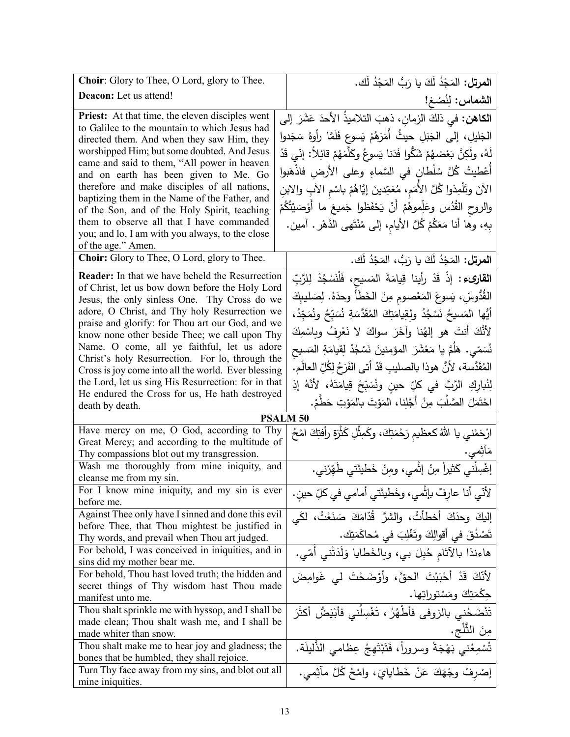| Choir: Glory to Thee, O Lord, glory to Thee.                                                              | ا <b>لمرتل:</b> المَجْدُ لَكَ يا رَبُّ المَجْدُ لَك.                           |
|-----------------------------------------------------------------------------------------------------------|--------------------------------------------------------------------------------|
| Deacon: Let us attend!                                                                                    | الشماس: لِنُصْغ!                                                               |
| Priest: At that time, the eleven disciples went                                                           | ا <b>لكاهن:</b> في ذلكَ الزمانِ، ذهبَ التلاميذُ الأحدَ عَشَرَ إلى              |
| to Galilee to the mountain to which Jesus had                                                             | الْجَلِيلِ، إِلَى الْجَبَلِ حيثُ أَمَرَهُمْ يَسوعٍ فَلَمَّا رأُوهُ سَجَدوا     |
| directed them. And when they saw Him, they                                                                |                                                                                |
| worshipped Him; but some doubted. And Jesus<br>came and said to them, "All power in heaven                | لَهُ، ولَكِنَّ بَعْضهُمْ شَكُّوا فَدَنا يَسوعُ وكَلَّمَهُمْ قائِلاً: إنّي قَدْ |
| and on earth has been given to Me. Go                                                                     | أَعْطيتُ كُلَّ سُلْطانِ في السَّماءِ وعلى الأرضِ فاذْهَبوا                     |
| therefore and make disciples of all nations,                                                              | الآنَ وتَلْمِذُوا كُلَّ الأُمَم، مُعَمِّدينَ إيَّاهُمْ باسْم الآبِ والابنِ     |
| baptizing them in the Name of the Father, and                                                             |                                                                                |
| of the Son, and of the Holy Spirit, teaching                                                              | والروح القُدُس وعَلِّموهُمْ أَنْ يَحْفَظوا جَميعَ ما أَوْصَيْتُكُمْ            |
| them to observe all that I have commanded                                                                 | بِهِ، وها أنا مَعَكُمْ كُلَّ الأيام، إلى مُنْتَهى الدَّهْر . آمين.             |
| you; and lo, I am with you always, to the close<br>of the age." Amen.                                     |                                                                                |
| Choir: Glory to Thee, O Lord, glory to Thee.                                                              | ا <b>لمرتل:</b> المَجْدُ لَكَ يا رَبُّ، المَجْدُ لَك.                          |
|                                                                                                           |                                                                                |
| <b>Reader:</b> In that we have beheld the Resurrection<br>of Christ, let us bow down before the Holy Lord | ا <b>لقارىء :</b> إذْ قَدْ رأينا قِيامَةَ المَسيح، فَلْنَسْجُدْ لِلرَّبِّ      |
| Jesus, the only sinless One. Thy Cross do we                                                              | القُدُّوسِّ، يَسوعَ المَعْصومِ مِنَ الخَطَأَ وحدَهُ. لِصَليبِكَ                |
| adore, O Christ, and Thy holy Resurrection we                                                             | أَيُّها المَسيحُ نَسْجُدُ ولقِيامَتِكَ المُقَدَّسَةِ نُسَبِّحُ ونُمَجِّدُ،     |
| praise and glorify: for Thou art our God, and we                                                          |                                                                                |
| know none other beside Thee; we call upon Thy                                                             | لأَنَّكَ أَنتَ هو إلهُنا وآخَرَ سواكَ لا نَعْرِفُ وبِاسْمِكَ                   |
| Name. O come, all ye faithful, let us adore<br>Christ's holy Resurrection. For lo, through the            | نُسَمّى. هَلَمَّ يا مَعْشَرَ المؤمنينَ نَسْجُدْ لِقِيامَةِ المَسيح             |
| Cross is joy come into all the world. Ever blessing                                                       | المُقَدَّسة، لأنَّ هوذا بالصليبِ قَدْ أتى الفَرَحُ لِكُلِّ العالَمِ.           |
| the Lord, let us sing His Resurrection: for in that                                                       | لِثُبارِكِ الرَّبَّ في كلِّ حينٍ ونُسَبِّحْ قِيامَتَهُ، لأنَّهُ إذِ            |
| He endured the Cross for us, He hath destroyed                                                            |                                                                                |
| death by death.                                                                                           | احْتَمَلَ الصَّلْبَ مِنْ أَجْلِنا، المَوْتَ بالمَوْتِ حَطَّمْ.                 |
| Have mercy on me, O God, according to Thy                                                                 | <b>PSALM 50</b>                                                                |
| Great Mercy; and according to the multitude of                                                            | ارْحَمْني يا اللهُ كعظيم رَحْمَتِكَ، وكَمِثْلِ كَثْرَةِ رأفتِكَ امْحُ          |
| Thy compassions blot out my transgression.                                                                | مَاثِمي.                                                                       |
| Wash me thoroughly from mine iniquity, and                                                                | إغْسِلْني كَثيراً مِنْ إثْمي، ومِنْ خَطْيئَتي طَهِّرْني.                       |
| cleanse me from my sin.                                                                                   |                                                                                |
| For I know mine iniquity, and my sin is ever<br>before me.                                                | لأَنِّي أنا عارِفٌ بإثْمي، وخَطيئَتي أمامي في كلِّ حينِ.                       |
| Against Thee only have I sinned and done this evil                                                        | إليكَ وحدَكَ أخطأتُ، والشرَّ قُدَّامَكَ صَنَعْتُ، لكَي                         |
| before Thee, that Thou mightest be justified in                                                           | تَصْدُقَ في أقوالِكَ وتَغْلِبَ في مُحاكَمَتِك.                                 |
| Thy words, and prevail when Thou art judged.                                                              |                                                                                |
| For behold, I was conceived in iniquities, and in<br>sins did my mother bear me.                          | هاءنذا بالآثام حُبِلَ بي، وبِالْخَطايا وَلَدَتْني أُمّي.                       |
| For behold, Thou hast loved truth; the hidden and                                                         | لأَنَّكَ قَدْ أَحْبَبْتَ الْحقَّ، وأَوْضَحْتَ لَى غَوامِضَ                     |
| secret things of Thy wisdom hast Thou made                                                                |                                                                                |
| manifest unto me.                                                                                         | جِكْمَتِكَ ومَسْتوراتِها.                                                      |
| Thou shalt sprinkle me with hyssop, and I shall be                                                        | تَنْضَحُني بالزوفي فأطْهُرُ ، تَغْسِلُني فأبْيَضُ أكثَرَ                       |
| made clean; Thou shalt wash me, and I shall be<br>made whiter than snow.                                  | مِنَ الثَّلج.                                                                  |
| Thou shalt make me to hear joy and gladness; the                                                          | تُسْمِعُني بَهْجَةً وسروراً، فَتَبْتَهِجُ عِظامي الذَّليلَة.                   |
| bones that be humbled, they shall rejoice.                                                                |                                                                                |
| Turn Thy face away from my sins, and blot out all                                                         | إِصْرِفْ وِجْهَكَ عَنْ خَطَايَايَ، وَاِمْحُ كُلَّ مِأَثِمي.                    |
| mine iniquities.                                                                                          |                                                                                |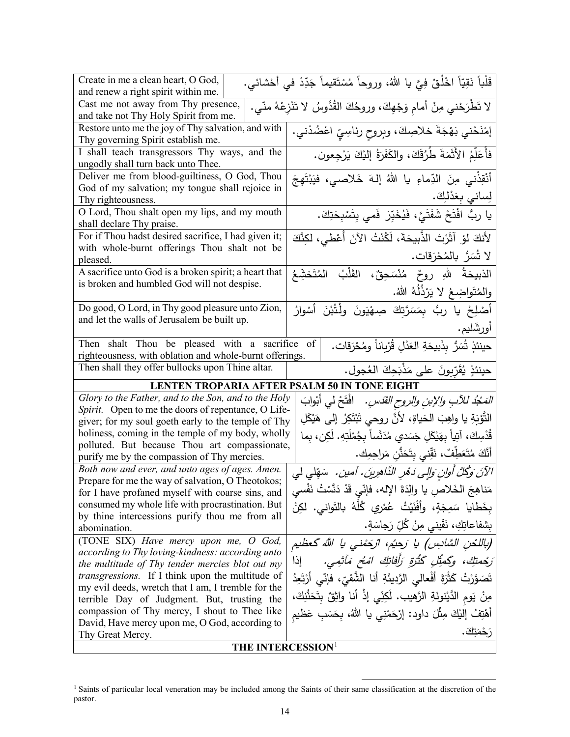| Create in me a clean heart, O God,<br>and renew a right spirit within me.                      | قَلْباً نَقِيّاً اخْلُقْ فِيَّ يا اللهُ، وروحاً مُسْتَقيماً جَدِّدْ في أَحْشائي. |
|------------------------------------------------------------------------------------------------|----------------------------------------------------------------------------------|
|                                                                                                |                                                                                  |
| Cast me not away from Thy presence,<br>and take not Thy Holy Spirit from me.                   | لا تَطْرَحْني مِنْ أمامِ وَجْهِكَ، وروحُكَ القُدُّوسُ لا تَنْزِعْهُ منّي.        |
| Restore unto me the joy of Thy salvation, and with                                             | إمْنَحْني بَهْجَةَ خلاصِكَ، وبِروحِ رِئاسِيِّ اعْضُدْني.                         |
| Thy governing Spirit establish me.                                                             |                                                                                  |
| I shall teach transgressors Thy ways, and the                                                  | فأُعَلِّمُ الأَثَمَةَ طُرُقَكَ، والكَفَرَةُ إليْكَ يَرْجِعون.                    |
| ungodly shall turn back unto Thee.                                                             |                                                                                  |
| Deliver me from blood-guiltiness, O God, Thou                                                  | أَنْقِذْني مِنَ الدِّماءِ يا اللهُ إلهَ خَلاصي، فيَبْتَهِجَ                      |
| God of my salvation; my tongue shall rejoice in                                                | لِساني بِعَدْلِكَ.                                                               |
| Thy righteousness.                                                                             |                                                                                  |
| O Lord, Thou shalt open my lips, and my mouth                                                  | يا ربِّ افْتَحْ شَفَتَيَّ، فَيُخَبِّرَ فَمي بِتَسْبِحَتِكَ.                      |
| shall declare Thy praise.<br>For if Thou hadst desired sacrifice, I had given it;              |                                                                                  |
| with whole-burnt offerings Thou shalt not be                                                   | لأَنكَ لَوْ آثَرْتَ الذَّبِيحَةَ، لَكُنْتُ الآنَ أُعْطَي، لكِنَّكَ               |
| pleased.                                                                                       | لا تُسَرُّ بالمُحْرَقات.                                                         |
| A sacrifice unto God is a broken spirit; a heart that                                          | الذبيحَةُ للهِ روحٌ مُنْسَحِقٌ، القَلْبُ المُتَخشِّعُ                            |
| is broken and humbled God will not despise.                                                    |                                                                                  |
|                                                                                                | والمُتَواضِعُ لا يَرْذُلُهُ اللهُ.                                               |
| Do good, O Lord, in Thy good pleasure unto Zion,                                               | أَصْلِحْ يا ربُّ بِمَسَرَّتِكَ صِهْيَونَ ولْتُبْنَ أَسْوارُ                      |
| and let the walls of Jerusalem be built up.                                                    | أورشَليم.                                                                        |
| Then shalt Thou be pleased with a sacrifice                                                    | حينئذٍ شُبَرٌ بِذَبيحَةِ العَدْلِ قُرْبِاناً ومُحْرَقات.<br>of                   |
| righteousness, with oblation and whole-burnt offerings.                                        |                                                                                  |
| Then shall they offer bullocks upon Thine altar.                                               | حينئذٍ يُقَرِّبونَ على مَذْبَحِكَ العُجول.                                       |
| LENTEN TROPARIA AFTER PSALM 50 IN TONE EIGHT                                                   |                                                                                  |
| Glory to the Father, and to the Son, and to the Holy                                           | <i>المَحْدُ للآبِ والإبنِ والروح القدّسِ.</i> افْتَحْ لي أبثوابَ                 |
| Spirit. Open to me the doors of repentance, O Life-                                            |                                                                                  |
|                                                                                                |                                                                                  |
| giver; for my soul goeth early to the temple of Thy                                            | التَّوْبَةِ يا واهِبَ الحَياةِ، لأنَّ روحي تَبْتَكِرُ إلى هَيْكَلِ               |
| holiness, coming in the temple of my body, wholly                                              | قُدْسِكَ، آتِياً بِهَيْكَلِ جَسَدي مُدَنَّساً بِجُمْلَتِهِ. لَكِن، بِما          |
| polluted. But because Thou art compassionate,                                                  | أَنَّكَ مُتَعَطِّفٌ، نَقِّني بِتَحَذُّنِ مَراحِمِك.                              |
| purify me by the compassion of Thy mercies.<br>Both now and ever, and unto ages of ages. Amen. |                                                                                  |
| Prepare for me the way of salvation, O Theotokos;                                              | الآنَ وَكُلَّ أُولنِ وَإِلِي دَهْرِ الذَّاهِرِينَ. آمين. شَقِلْي لِي             |
| for I have profaned myself with coarse sins, and                                               | مَناهِجَ الخَلاص يا والِدَةَ الإِله، فإنّي قَدْ دَنَّسْتُ نَفْسي                 |
| consumed my whole life with procrastination. But                                               | بخَطايا سَمِجَةٍ، وأَفْنَيْتُ عُمْرِي كُلّهُ بالتَواني. لكِنْ                    |
| by thine intercessions purify thou me from all                                                 |                                                                                  |
| abomination.                                                                                   | بِشْفَاعَاتِكِ، نَقَّيني مِنْ كُلِّ رَجَاسَةٍ.                                   |
| (TONE SIX) Have mercy upon me, O God,<br>according to Thy loving-kindness: according unto      | (باللحن السَّادِس) يا رَحيُم، ارْحَمْني يا الله كَعظيم                           |
| the multitude of Thy tender mercies blot out my                                                | رَجْمِتِكَ، وَكِمْثِلِ كَثْرَةِ رَأَفَاتِكَ امْعُ مَأْثِمِي.<br>إذا              |
| <i>transgressions</i> . If I think upon the multitude of                                       | نَصَوَّرْتُ كَثْرَةَ أَفْعالَى الرَّدِيئَةِ أَنا الشَّقيّ، فإنّي أَرْتَعِدُ      |
| my evil deeds, wretch that I am, I tremble for the                                             |                                                                                  |
| terrible Day of Judgment. But, trusting the                                                    | مِنْ يَومِ الدَّيْنونَةِ الرَّهيبِ. لَكِنِّي إِذْ أَنا واثِقٌ بِتَحَنُّنِكَ،     |
| compassion of Thy mercy, I shout to Thee like                                                  | أَهْتِفُ إليْكَ مِثْلَ داود: إرْحَمْنِي يا اللهُ، بِحَسَبِ عَظْيم                |
| David, Have mercy upon me, O God, according to<br>Thy Great Mercy.                             | رَحْمَتِكَ.                                                                      |

<span id="page-13-0"></span><sup>&</sup>lt;sup>1</sup> Saints of particular local veneration may be included among the Saints of their same classification at the discretion of the pastor.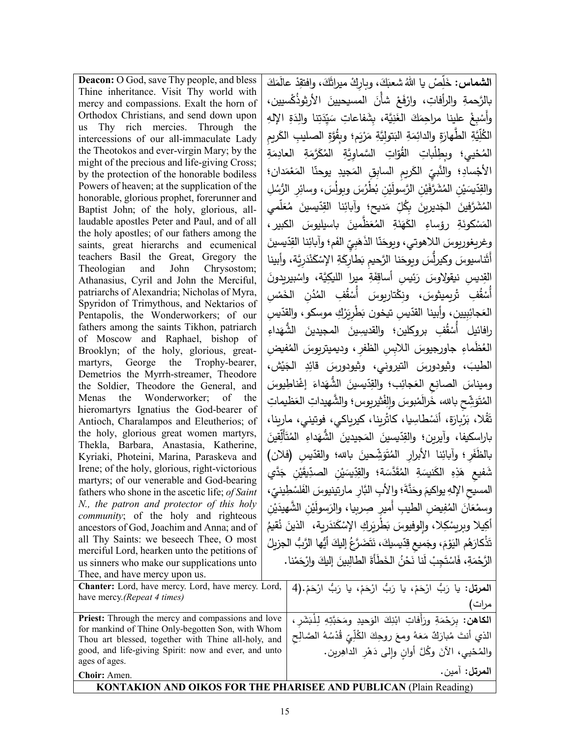| <b>Deacon:</b> O God, save Thy people, and bless                                                               | <b>الشماس:</b> خَلِّصْ يا اللهُ شعبَكَ، وبارِكْ ميراثَكَ، وافتقِدْ عالَمَكَ              |
|----------------------------------------------------------------------------------------------------------------|------------------------------------------------------------------------------------------|
| Thine inheritance. Visit Thy world with<br>mercy and compassions. Exalt the horn of                            | بالرَّحمةِ والرأفاتِ، وارْفَعْ شأنَ المسيحيينَ الأرثوذُكْسيين،                           |
| Orthodox Christians, and send down upon                                                                        | وأَسْبِغْ علينا مراحِمَكَ الغَنِيَّة، بِشَفاعاتِ سَيِّدَتِنا والِدَةِ الإِلْهِ           |
| us Thy rich mercies. Through the<br>intercessions of our all-immaculate Lady                                   | الْكُلِّيَّةِ الطَّهارَةِ والدائِمَةِ البَتوليَّةِ مَرْيَمٍ؛ وبِقُوَّةِ الصليبِ الكَريمِ |
| the Theotokos and ever-virgin Mary; by the                                                                     | المُحْيى؛ وبِطِلْباتِ القُوّاتِ السَّماوِيَّةِ المُكَرَّمَةِ العادِمَةِ                  |
| might of the precious and life-giving Cross;                                                                   | الأجْسادِ؛ والنَّبيِّ الكَريمِ السابِقِ المَجيدِ يوحنّا المَعْمَدان؛                     |
| by the protection of the honorable bodiless<br>Powers of heaven; at the supplication of the                    |                                                                                          |
| honorable, glorious prophet, forerunner and                                                                    | والقِدّيسَيْنِ المُشَرَّفَيْنِ الرَّسولَيْنِ بُطْرُسَ وبولَسَ، وسائِرِ الرُّسُلِ         |
| Baptist John; of the holy, glorious, all-                                                                      | المُشَرَّفينَ الْجَديريِنَ بِكُلِّ مَديحِ؛ وآبائِنا القِدِّيسينَ مُعَلِّمي               |
| laudable apostles Peter and Paul, and of all<br>the holy apostles; of our fathers among the                    | المَسْكونَةِ رؤساءِ الكَهَنَةِ المُعَظَّمينَ باسيليوسَ الكبيرِ،                          |
| saints, great hierarchs and ecumenical                                                                         | وغريغوريوسَ اللاهوتي، ويوحَنّا الذَهَبِيّ الفَم؛ وآبائِنا القِدّيسينَ                    |
| teachers Basil the Great, Gregory the                                                                          | أَثَنَاسيوسَ وكيرلِّسَ ويوحَنا الرَّحيم بَطارِكَةِ الإِسْكَنْدَرِيَّة، وأبينا            |
| Theologian and John Chrysostom;<br>Athanasius, Cyril and John the Merciful,                                    | القِديس نيقولِاوسَ رَئِيس أساقِفَةِ ميرا الليكِيَّة، واسْبيرِيدونَ                       |
| patriarchs of Alexandria; Nicholas of Myra,                                                                    | أَسْقُفِ تْرِيمِيثوسَ، ونِكْتارِيوسَ أَسْقُفِ المُدُنِ الخَمْسِ                          |
| Spyridon of Trimythous, and Nektarios of                                                                       | العَجائِبِيين، وأبينا القدّيس تيخون بَطْرِيَرْكِ موسكو ، والقدّيسِ                       |
| Pentapolis, the Wonderworkers; of our<br>fathers among the saints Tikhon, patriarch                            |                                                                                          |
| of Moscow and Raphael, bishop of                                                                               | رافائيل أَسْقُفِ بروكلين؛ والقديسِينَ المجيدينَ الشَّهَداءِ                              |
| Brooklyn; of the holy, glorious, great-                                                                        | الْعُظُماءِ جاورجيوسَ اللابس الظفر ، وديميتريوسَ الْمُفيض                                |
| martyrs, George the Trophy-bearer,<br>Demetrios the Myrrh-streamer, Theodore                                   | الطيبَ، وثيودورسَ التيروني، وثيودورسَ قائِدِ الجَيْش،                                    |
| the Soldier, Theodore the General, and                                                                         | وميناسَ الصانِعِ العَجائِبِ؛ والقِدّيسينَ الشُّهَداءَ إغْناطِيوسَ                        |
| Menas the Wonderworker; of the                                                                                 | المُتَوَشِّح بالله، خَرالَمْبوسَ وإلِفْثيريوس؛ والشُّهيداتِ العَظيماتِ                   |
| hieromartyrs Ignatius the God-bearer of<br>Antioch, Charalampos and Eleutherios; of                            | تَقْلا، بَرْبِارَة، أَنَسْطَاسِيا، كَاتْرِينا، كَيرياكي، فوتيني، مارينا،                 |
| the holy, glorious great women martyrs,                                                                        | باراسكيفا، وآيرين؛ والقِدّيسينَ المَجيدينَ الشَّهَداءِ المُتَأَلِّقينَ                   |
| Thekla, Barbara, Anastasia, Katherine,                                                                         |                                                                                          |
| Kyriaki, Photeini, Marina, Paraskeva and<br>Irene; of the holy, glorious, right-victorious                     | بالظَفَرِ ؛ وأبائِنا الأبرار المُتَوَشِّحينَ بالله؛ والقدّيسِ (فلان)                     |
| martyrs; of our venerable and God-bearing                                                                      | شَفيع هَذِهِ الكَنيسَةِ المُقَدَّسَة؛ والقِدِّيسَيْنِ الصدِّيقَيْنِ جَدَّي               |
| fathers who shone in the ascetic life; of Saint                                                                | المسيح الإلهِ يواكيمَ وحَنَّةَ؛ والأبِ النَّارِ مارتينيوسَ الفَلسْطِينيِّ،               |
| N., the patron and protector of this holy                                                                      | وسمْعَانَ المُفِيض الطيبِ أمير صِربِيا، والرَسولَيْنِ الشَّهيدَيْنِ                      |
| <i>community</i> ; of the holy and righteous<br>ancestors of God, Joachim and Anna; and of                     | أكِيلا وبريِسْكِلا، وإلوفيوسَ بَطْرِيَركِ الإِسْكَنْدَرِية، ۖ الذينَ نُقيمُ              |
| all Thy Saints: we beseech Thee, O most                                                                        | تَذْكارَهُم اليَوْمَ، وجَميع قِدّيسيكَ، نَتَضَرَّعُ إِليكَ أَيُّها الرَّبُّ الجزيلُ      |
| merciful Lord, hearken unto the petitions of                                                                   | الرَّحْمَةِ، فَاسْتَجِبْ لَنا نَحْنُ الخَطَأَةَ الطالِبينَ إليكَ وارْحَمْنا .            |
| us sinners who make our supplications unto<br>Thee, and have mercy upon us.                                    |                                                                                          |
| Chanter: Lord, have mercy. Lord, have mercy. Lord,                                                             | المرتل: يا رَبُّ ارْحَمْ، يا رَبُّ ارْحَمْ، يا رَبُّ ارْحَمْ. (4                         |
| have mercy.(Repeat 4 times)                                                                                    | مرات)                                                                                    |
|                                                                                                                |                                                                                          |
| <b>Priest:</b> Through the mercy and compassions and love<br>for mankind of Thine Only-begotten Son, with Whom | ا <b>لكاهن:</b> بِرَحْمَةِ ورَأَفاتِ ابْنِكَ الوَحِيدِ ومَحَبَّتِهِ لِلْبَشَرِ ،         |
| Thou art blessed, together with Thine all-holy, and                                                            | الذي أنتَ مُبارَكٌ مَعَهُ ومعَ روحِكَ الكُلِّيِّ قُدْسُهُ الصَّالِح                      |
| good, and life-giving Spirit: now and ever, and unto<br>ages of ages.                                          | والمُحْيى، الآنَ وكُلَّ أوانِ وإلى دَهْرِ الداهِرين.                                     |
| Choir: Amen.                                                                                                   | المرتل: آمين.                                                                            |
|                                                                                                                | <b>KONTAKION AND OIKOS FOR THE PHARISEE AND PUBLICAN (Plain Reading)</b>                 |
|                                                                                                                |                                                                                          |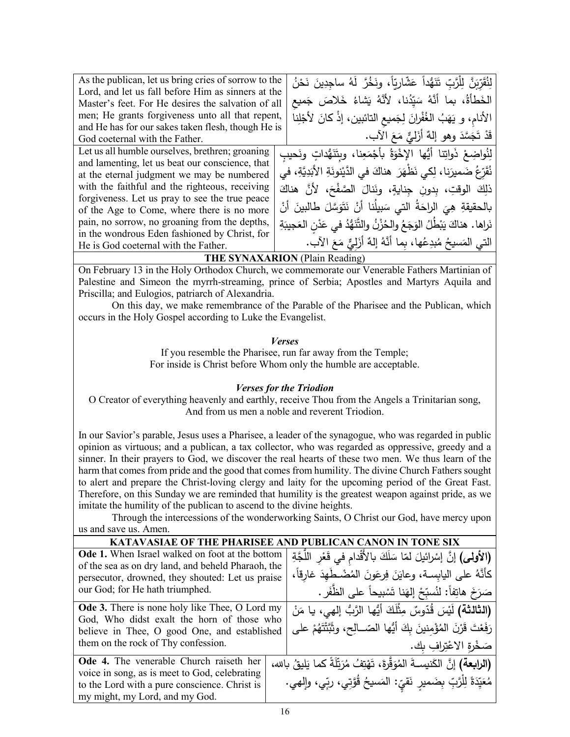| As the publican, let us bring cries of sorrow to the | لِنُقَرِّبَنَّ لِلْرَّبِّ تَنَهُّداً عَشّارِيّاً، ونَخُرَّ لَهُ ساجدِينَ نَحْنُ |
|------------------------------------------------------|---------------------------------------------------------------------------------|
| Lord, and let us fall before Him as sinners at the   |                                                                                 |
| Master's feet. For He desires the salvation of all   | الخَطأَةُ، بما أَنَّهُ سَيِّدُنا، لأَنَّهُ يَشاءُ خَلاصَ جَميع                  |
| men; He grants forgiveness unto all that repent,     | الأنام، و يَهَبُ الغُفْرانَ لِجَميعِ التائبينِ، إذْ كانَ لأَجْلِنا              |
| and He has for our sakes taken flesh, though He is   |                                                                                 |
| God coeternal with the Father.                       | قَدْ تَجَسَّدَ وهو إِلهٌ أَزَلْيٌّ مَعَ الآب.                                   |
| Let us all humble ourselves, brethren; groaning      | لِنُواضِعْ ذَواتِنا أَيُّها الإخْوَةُ بِأَجْمَعِنا، وبِتَنَهُّداتٍ ونَحيبِ      |
| and lamenting, let us beat our conscience, that      |                                                                                 |
| at the eternal judgment we may be numbered           | نُقَرِّعُ ضَميرَنا، لِكي نَظْهَرَ  هناكَ في الدَّيْنونَةِ الأَبَدِيَّةِ، في     |
| with the faithful and the righteous, receiving       | ذلِكَ الوقتِ، بدونِ جنايةٍ، ونَنالَ الصَّفْحَ، لأَنَّ هناكَ                     |
| forgiveness. Let us pray to see the true peace       |                                                                                 |
| of the Age to Come, where there is no more           | بالحقيقةِ هِيَ الراحَةُ التي سَبِيلُنا أَنْ نَتَوَسَّلَ طالبينَ أَنْ            |
| pain, no sorrow, no groaning from the depths,        | نَراها. هناكَ يَبْطُلُ الوَجَعُ والحُزْنُ والتَّنَهُّدُ في عَدْنِ العَجيبَةِ    |
| in the wondrous Eden fashioned by Christ, for        |                                                                                 |
| He is God coeternal with the Father.                 | الَّتِي الْمَسِيحُ مُبِدِعُها، بما أَنَّهُ إِلهٌ أَزَلِيٌّ مَعَ الآبِ.          |
|                                                      |                                                                                 |

## **THE SYNAXARION** (Plain Reading)

On February 13 in the Holy Orthodox Church, we commemorate our Venerable Fathers Martinian of Palestine and Simeon the myrrh-streaming, prince of Serbia; Apostles and Martyrs Aquila and Priscilla; and Eulogios, patriarch of Alexandria.

On this day, we make remembrance of the Parable of the Pharisee and the Publican, which occurs in the Holy Gospel according to Luke the Evangelist.

*Verses*

If you resemble the Pharisee, run far away from the Temple; For inside is Christ before Whom only the humble are acceptable.

## *Verses for the Triodion*

O Creator of everything heavenly and earthly, receive Thou from the Angels a Trinitarian song, And from us men a noble and reverent Triodion.

In our Savior's parable, Jesus uses a Pharisee, a leader of the synagogue, who was regarded in public opinion as virtuous; and a publican, a tax collector, who was regarded as oppressive, greedy and a sinner. In their prayers to God, we discover the real hearts of these two men. We thus learn of the harm that comes from pride and the good that comes from humility. The divine Church Fathers sought to alert and prepare the Christ-loving clergy and laity for the upcoming period of the Great Fast. Therefore, on this Sunday we are reminded that humility is the greatest weapon against pride, as we imitate the humility of the publican to ascend to the divine heights.

Through the intercessions of the wonderworking Saints, O Christ our God, have mercy upon us and save us. Amen.

| <b>KATAVASIAE OF THE PHARISEE AN</b>                                                                                                                                                       |  |                                                                                        |
|--------------------------------------------------------------------------------------------------------------------------------------------------------------------------------------------|--|----------------------------------------------------------------------------------------|
| Ode 1. When Israel walked on foot at the bottom                                                                                                                                            |  | (الأولى) إنَّ إسْرائيلَ لمّا سَلَكَ بالأَقْدام في قَعْرِ اللَّجَّةِ                    |
| of the sea as on dry land, and beheld Pharaoh, the<br>persecutor, drowned, they shouted: Let us praise<br>our God; for He hath triumphed.                                                  |  | كأنَّهُ على اليابِسة، وعايَنَ فِرعَونَ المُضْطَهِدَ غارقاً،                            |
|                                                                                                                                                                                            |  | صَرَخَ هاتِفاً: لنُسبِّحْ إلهَنا تَسْبِيحاً على الظُّفَرِ .                            |
| <b>Ode 3.</b> There is none holy like Thee, O Lord my<br>God, Who didst exalt the horn of those who<br>believe in Thee, O good One, and established<br>them on the rock of Thy confession. |  | (ا <b>لثالثة)</b> لَيْسَ قُدّوسٌ مِثْلَكَ أَيُّها الرَّبُّ إل <i>َهي</i> ، يا مَنْ     |
|                                                                                                                                                                                            |  | رَفَعْتَ قَرْنَ المُؤْمِنينَ بِكَ أَيُّها الصّــالِحِ، وثَبَّتْتَهُمْ على              |
|                                                                                                                                                                                            |  | صَخْرة الاعْتِرافِ بك.                                                                 |
| Ode 4. The venerable Church raiseth her                                                                                                                                                    |  | (ا <b>لرابعة)</b> إنَّ الكَنيسـةَ المُوَقَّرةَ، تَهْتِفُ مُرَتِّلَةً كما يَليقُ بالله، |
| voice in song, as is meet to God, celebrating<br>to the Lord with a pure conscience. Christ is                                                                                             |  | مُعَيِّدَةَ لِلْرَّبِّ بِضَميرٍ نَقيِّ: المَسيحُ قُوَّتِي، ربِّي، وإلهي.               |
| my might, my Lord, and my God.                                                                                                                                                             |  |                                                                                        |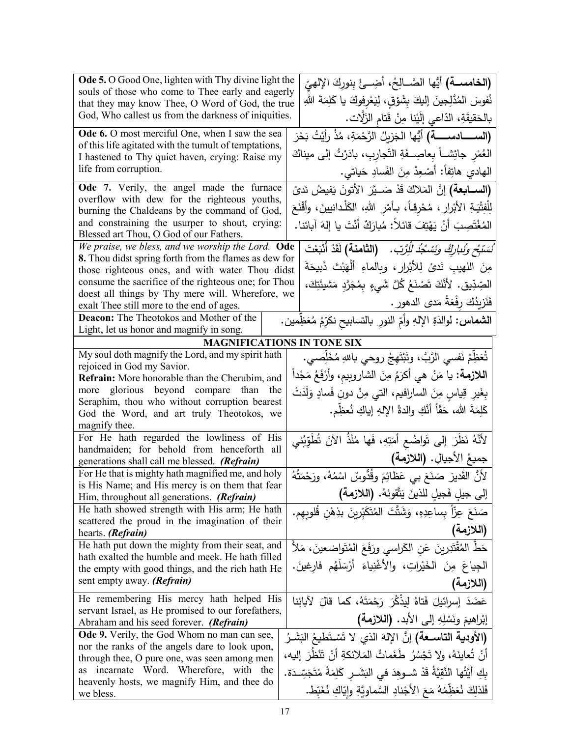| <b>Ode 5.</b> O Good One, lighten with Thy divine light the                                              | <b>(الخامســة)</b> أيُّها الصَّــالِحُ، أَضِـــئْ بِنوركَ الإِلهيِّ                      |
|----------------------------------------------------------------------------------------------------------|------------------------------------------------------------------------------------------|
| souls of those who come to Thee early and eagerly                                                        | نُفوسَ المُدَّلِجينَ إليكَ بشَوْقٍ، لِيَعْرِفوكَ يا كَلِمَةَ اللهِ                       |
| that they may know Thee, O Word of God, the true<br>God, Who callest us from the darkness of iniquities. |                                                                                          |
|                                                                                                          | بالحَقيقَةِ، الدّاعي إلَيْنا مِنْ قَتام الزَلَّات.                                       |
| <b>Ode 6.</b> O most merciful One, when I saw the sea                                                    |                                                                                          |
| of this life agitated with the tumult of temptations,                                                    | العُمْرِ جائِشــاً بِعاصِـــفَةِ التّجاربِ، بادَرْتُ إلى ميناكَ                          |
| I hastened to Thy quiet haven, crying: Raise my<br>life from corruption.                                 |                                                                                          |
|                                                                                                          | المهادي هاتِفاً: أَصْعِدْ مِنَ الفَسادِ حَياتي.                                          |
| Ode 7. Verily, the angel made the furnace<br>overflow with dew for the righteous youths,                 | (ال <b>ســـابعة)</b> إنَّ المَلاكَ قَدْ صَـــيَّرَ  الأَتونَ يَفيضُ نَد <i>ىً</i>        |
| burning the Chaldeans by the command of God,                                                             | لِلْفِتْيَـةِ الأَبْرارِ ، مُحْرِقاً، بـأَمْرِ اللهِ، الكَلْدانيينَ، وأَقْنَعَ           |
| and constraining the usurper to shout, crying:                                                           | المُغْتَصِبَ أَنْ يَهْتِفَ قَائِلاً: مُبارَكٌ أَنْتَ يا إِلهَ آبائنا.                    |
| Blessed art Thou, O God of our Fathers.                                                                  |                                                                                          |
| We praise, we bless, and we worship the Lord. Ode                                                        | ُنَسَبَّ <i>حٍ وِنُنارِكُ وَنَسْجُدُ لِلْرَّبِّ.</i> (ا <b>لثامنة)</b> لَقَدْ أَنْبَعْتَ |
| 8. Thou didst spring forth from the flames as dew for                                                    | مِنَ اللهيبِ نَدىً لِلأَبْرِارِ ، وبِالماءِ أَلْهَبْتَ ذَبِيحَةَ                         |
| those righteous ones, and with water Thou didst                                                          |                                                                                          |
| consume the sacrifice of the righteous one; for Thou<br>doest all things by Thy mere will. Wherefore, we | الْصِّدِّيقِ. لأَنَّكَ تَصْنَعُ كُلَّ شَيءٍ بِمُجَرَّدٍ مَشْيئَتِكَ،                     |
| exalt Thee still more to the end of ages.                                                                | فَنَزِيدُكَ رِفْعَةً مَدى الدهور .                                                       |
| <b>Deacon:</b> The Theotokos and Mother of the                                                           | ا <b>لشماس:</b> لوالدَةِ الإلهِ وأمِّ النورِ بالتسابيح نكرِّمُ مُعَظِمين.                |
| Light, let us honor and magnify in song.                                                                 |                                                                                          |
|                                                                                                          | <b>MAGNIFICATIONS IN TONE SIX</b>                                                        |
| My soul doth magnify the Lord, and my spirit hath                                                        | تُعَظِّمُ نَفْسي الرَّبَّ، وتَبْتَهِجُ روحي باللهِ مُخَلِّصي.                            |
| rejoiced in God my Savior.                                                                               | ا <b>للازمة:</b> يا مَنْ هي أكرَمُ مِنَ الشاروبيم، وأَرْفَعُ مَجْداً                     |
| Refrain: More honorable than the Cherubim, and                                                           |                                                                                          |
| more glorious beyond compare than the<br>Seraphim, thou who without corruption bearest                   | بِغَيرِ قِياسٍ مِنَ السارافيم، التي مِنْ دونِ فَسادٍ وَلَدَتْ                            |
| God the Word, and art truly Theotokos, we                                                                | كَلِمَةَ الله، حَقّاً أَنَّكِ والدةُ اﻹلهِ إياكِ نُعظِّم.                                |
| magnify thee.                                                                                            |                                                                                          |
| For He hath regarded the lowliness of His                                                                | لأَنَّهُ نَظَرَ إلى تَواضُعِ أَمَتِهِ، فَها مُنْذُ الآنَ تُطَوِّبُني                     |
| handmaiden; for behold from henceforth all                                                               |                                                                                          |
| generations shall call me blessed. (Refrain)                                                             | جميعُ الأجيالِ. (اللازمة)                                                                |
| For He that is mighty hath magnified me, and holy                                                        | لأنَّ القَديرَ صَنَعَ بي عَظائِمَ وقُدُّوسٌ اسْمُهُ، ورَحْمَتُهُ                         |
| is His Name; and His mercy is on them that fear                                                          | إلى جيلِ فَجيلِ للذينَ يَتَّقونَهُ. (اللازمة)                                            |
| Him, throughout all generations. (Refrain)<br>He hath showed strength with His arm; He hath              |                                                                                          |
| scattered the proud in the imagination of their                                                          | صَنَعَ عِزّاً بساعِدِهِ، وَشَتَّتَ المُتَكَبّرينَ بذِهْنِ قُلوبِهِم.                     |
| hearts. (Refrain)                                                                                        | (اللازمة)                                                                                |
| He hath put down the mighty from their seat, and                                                         | حَطِّ المُقْتَدِرِينَ عَنِ الكَراسي ورَفَعَ المُتَواضعينَ، مَلأَ                         |
| hath exalted the humble and meek. He hath filled                                                         | الْجِياعَ مِنَ الْخَيْراتِ، والأَغْنِياءَ أَرْسَلَهُم فَارِغِينَ.                        |
| the empty with good things, and the rich hath He                                                         |                                                                                          |
| sent empty away. (Refrain)                                                                               | (اللازمة)                                                                                |
| He remembering His mercy hath helped His                                                                 | عَضَدَ إسرائيلَ فَتاهُ لِيذْكُرَ رَحْمَتَهُ، كما قالَ لآبائِنا                           |
| servant Israel, as He promised to our forefathers,                                                       | إبْراهيمَ ونَسْلِهِ إلى الأبد. (اللازمة)                                                 |
| Abraham and his seed forever. (Refrain)<br>Ode 9. Verily, the God Whom no man can see,                   |                                                                                          |
| nor the ranks of the angels dare to look upon,                                                           | (الأودية التاســعة) إنَّ الإلهَ الذي لا تَسْتَطْيعُ البَشَـرُ                            |
| through thee, O pure one, was seen among men                                                             | أَنْ تُعايِنَهُ، ولا تَجْسُرُ طَغَماتُ المَلائكةِ أَنْ تَنْظُرَ إليه،                    |
| incarnate Word. Wherefore, with the<br>as                                                                | بِكِ أَيَّتُها النَّقِيَّةُ قَدْ شــوهِدَ فـى البَشَــرِ كَلِمَةً مُتَجَسِّــدَة.        |
| heavenly hosts, we magnify Him, and thee do                                                              |                                                                                          |
| we bless.                                                                                                | فَلذلِكَ نُعَظِمُهُ مَعَ الأَجْنادِ السَّماويَّةِ وايّاكِ نُغَبّط.                       |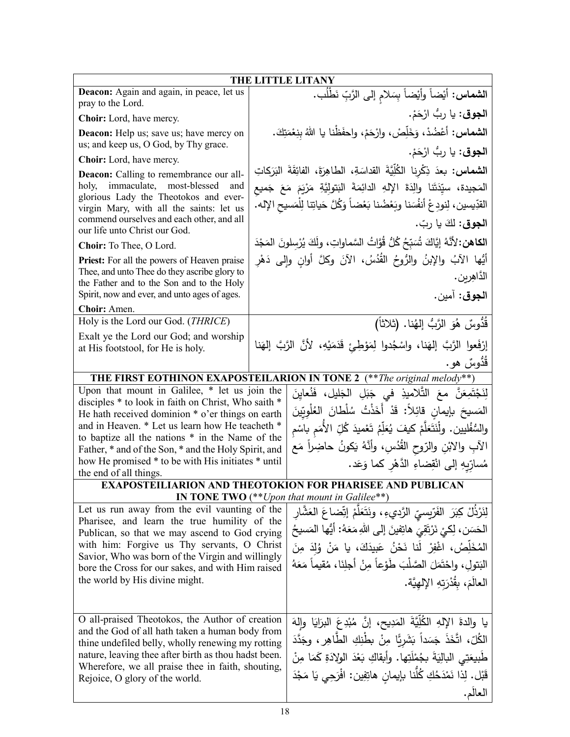| THE LITTLE LITANY                                                                                  |  |                                                                                                                    |
|----------------------------------------------------------------------------------------------------|--|--------------------------------------------------------------------------------------------------------------------|
| Deacon: Again and again, in peace, let us                                                          |  | الشماس: أَيْضاً وأَيْضاً بِسَلامِ إِلَى الرَّبِّ نَطْلُب.                                                          |
| pray to the Lord.                                                                                  |  |                                                                                                                    |
| Choir: Lord, have mercy.                                                                           |  | ا <b>لجوق</b> : يا ربُّ ارْحَمْ.                                                                                   |
| Deacon: Help us; save us; have mercy on<br>us; and keep us, O God, by Thy grace.                   |  | ا <b>لشماس:</b> أَعْضُدْ، وَخَلِّصْ، وارْحَمْ، واحفَظْنا يا اللهُ بِنِعْمَتِكَ.                                    |
| Choir: Lord, have mercy.                                                                           |  | ا <b>لجوق:</b> يا ربُّ ارْحَمْ.                                                                                    |
| <b>Deacon:</b> Calling to remembrance our all-                                                     |  | ا <b>لشماس:</b> بعدَ ذِكْرِنا الكُلِّيَّةَ القداسَةِ، الطاهِرَةَ، الفائِقَةَ البَرَكاتِ                            |
| immaculate, most-blessed<br>holy,<br>and                                                           |  | المَجيدة، سيِّدَتَنا والِدَةَ الإِلهِ الدائِمَةَ البَتولِيَّةِ مَرْيَمَ مَعَ جَميع                                 |
| glorious Lady the Theotokos and ever-<br>virgin Mary, with all the saints: let us                  |  | القدِّيسين، لِنودِعْ أنفُسَنا وبَعْضُنا بَعْضاً وَكُلَّ حَياتِنا لِلْمَسيحِ الإله.                                 |
| commend ourselves and each other, and all<br>our life unto Christ our God.                         |  | ا <b>لجوق:</b> لكَ يا ربّ.                                                                                         |
| Choir: To Thee, O Lord.                                                                            |  | الكاهن: لأنَّهُ إِيَّاكَ شُبَبِحُ كُلُّ قُوَّاتُ السَّماواتِ، ولَكَ يُرْسِلونَ المَجْدَ                            |
| Priest: For all the powers of Heaven praise                                                        |  | أَيُّها الآبُ والإِبنُ والرُّوحُ القُدُسُ، الآنَ وكلَّ أوانِ وإلى دَهْرِ                                           |
| Thee, and unto Thee do they ascribe glory to                                                       |  |                                                                                                                    |
| the Father and to the Son and to the Holy                                                          |  | الدَّاهِرين .                                                                                                      |
| Spirit, now and ever, and unto ages of ages.                                                       |  | ا <b>لجوق</b> : آمين.                                                                                              |
| Choir: Amen.<br>Holy is the Lord our God. (THRICE)                                                 |  |                                                                                                                    |
| Exalt ye the Lord our God; and worship                                                             |  | قُدُوسٌ هُوَ الرَّبُّ إِلهُنا. (ثلاثاً)                                                                            |
| at His footstool, for He is holy.                                                                  |  | إِرْفَعوا الرَّبَّ إِلهَنا، واسْجُدوا لِمَوْطِئٍ قَدَمَيْهِ، لأَنَّ الرَّبَّ إِلهَنا                               |
|                                                                                                    |  | قُدُوسٌ هو.                                                                                                        |
|                                                                                                    |  | THE FIRST EOTHINON EXAPOSTEILARION IN TONE 2 (**The original melody**)                                             |
| Upon that mount in Galilee, * let us join the                                                      |  | لِنَجْتَمِعَنَّ معَ التَّلاميذِ في جَبَلِ الْجَليلِ، فَنُعايِنَ                                                    |
| disciples * to look in faith on Christ, Who saith *                                                |  |                                                                                                                    |
| He hath received dominion * o'er things on earth                                                   |  | المَسيحَ بإيمانِ قائِلاً: قَدْ أَخَذْتُ سُلْطانَ العُلْوِيّينَ                                                     |
| and in Heaven. * Let us learn how He teacheth *<br>to baptize all the nations * in the Name of the |  | والسُّفْليين. ولْنَتَعَلَّمْ كيفَ يُعَلِّمُ تَعْميدَ كُلِّ الأُمَم باسْم                                           |
| Father, * and of the Son, * and the Holy Spirit, and                                               |  | الآبِ والابْنِ والرّوح القُدُسِ، وأنَّهُ يَكونُ حاضِراً مَع                                                        |
| how He promised * to be with His initiates * until                                                 |  | مُسارِّيهِ إلى انْقِضاءِ الدَّهْرِ كما وَعَد.                                                                      |
| the end of all things.                                                                             |  |                                                                                                                    |
|                                                                                                    |  | <b>EXAPOSTEILIARION AND THEOTOKION FOR PHARISEE AND PUBLICAN</b><br>IN TONE TWO $(**Upon$ that mount in Galilee**) |
| Let us run away from the evil vaunting of the                                                      |  | لِنَرْذَلْ كِبَرَ  الفَرّيسيِّ الرَّديءِ، ونَتَعَلَّمْ إتِّضاعَ العَشَّارِ                                         |
| Pharisee, and learn the true humility of the                                                       |  |                                                                                                                    |
| Publican, so that we may ascend to God crying                                                      |  | الْحَسَنِ، لِكِيْ نَرْتَقِيَ هاتِفينَ إِلَى اللهِ مَعَهُ: أَيُّها الْمَسِيحُ                                       |
| with him: Forgive us Thy servants, O Christ<br>Savior, Who was born of the Virgin and willingly    |  | المُخَلِّصُ، اغْفِرْ لَنا نَحْنُ عَبِيدَكَ، يا مَنْ وُلِدَ مِنَ                                                    |
| bore the Cross for our sakes, and with Him raised                                                  |  | البَتولِ، واحْتَمَلَ الصَّلْبَ طَوْعاً مِنْ أَجلِنَا، مُقيماً مَعَهُ                                               |
| the world by His divine might.                                                                     |  | العالَمَ، بِقُدْرَتِهِ الإِلْهِيَّةِ.                                                                              |
|                                                                                                    |  |                                                                                                                    |
|                                                                                                    |  |                                                                                                                    |
| O all-praised Theotokos, the Author of creation<br>and the God of all hath taken a human body from |  | يا والدةَ الإلهِ الكُلِّيَّةَ المَدِيحِ، إنَّ مُبْدِعَ البرَايَا وإلهَ                                             |
| thine undefiled belly, wholly renewing my rotting                                                  |  | الكُلّ ، اتَّخَذَ جَسَداً بَشَريًّا مِنْ بطْنِكِ الطَّاهِرِ ، وجَدَّدَ                                             |
| nature, leaving thee after birth as thou hadst been.                                               |  | طَبِيعَتِي البالِيَةَ بِجُمْلَتِها. وأَبقاكِ بَعْدَ الولادَةِ كَمَا مِنْ                                           |
| Wherefore, we all praise thee in faith, shouting,                                                  |  | قَبْل. لِذا نَمْدَحُكِ كُلّنا بإيمانِ هاتِفِين: افْرَحِي يَا مَجْدَ                                                |
| Rejoice, O glory of the world.                                                                     |  | العالّم.                                                                                                           |
|                                                                                                    |  |                                                                                                                    |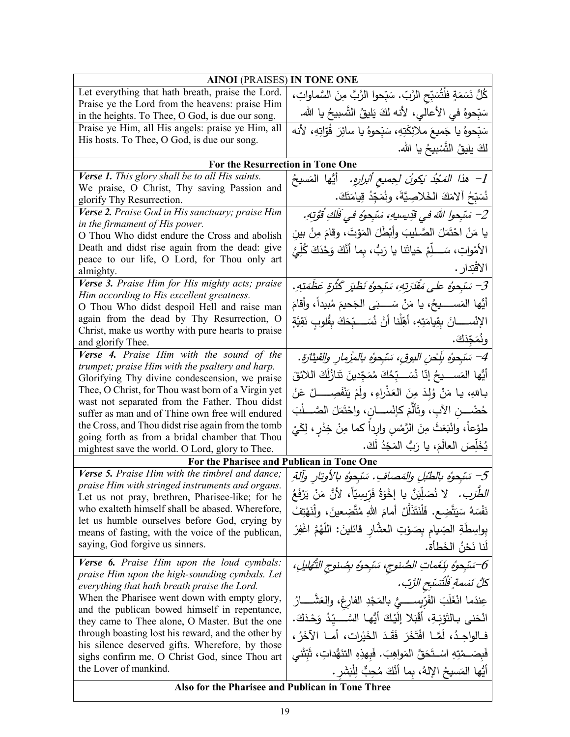| <b>AINOI</b> (PRAISES) IN TONE ONE                                                                   |                                                                                   |
|------------------------------------------------------------------------------------------------------|-----------------------------------------------------------------------------------|
| Let everything that hath breath, praise the Lord.                                                    | كُلُّ نَسَمَةٍ فلْتُسَبِّحِ الرَّبِّ. سَبِّحوا الرَّبَّ مِنَ السَّماواتِ،         |
| Praise ye the Lord from the heavens: praise Him                                                      | سَبّحوهُ في الأعالى، لأنه لكَ يَليقُ النَّسبيحُ يا الله.                          |
| in the heights. To Thee, O God, is due our song.                                                     |                                                                                   |
| Praise ye Him, all His angels: praise ye Him, all<br>His hosts. To Thee, O God, is due our song.     | سَبّحوهُ يا جَميعَ ملائِكَتِهِ، سَبّحوهُ يا سائِرَ  قُوّاتِهِ، لأنه               |
|                                                                                                      | لكَ يليقُ التَّسْبِيحُ يا الله.                                                   |
| For the Resurrection in Tone One                                                                     |                                                                                   |
| Verse 1. This glory shall be to all His saints.                                                      | 1–   هذا  المَجْدُ  بَكونُ  لـجميع ٱبْرارِهِ.      أَيُّها  المَسيحُ              |
| We praise, O Christ, Thy saving Passion and                                                          | نُسَبِّحُ آلامَكَ الخَلاصِيَّةَ، ونُمَجِّدُ قِيامَتَكَ.                           |
| glorify Thy Resurrection.                                                                            |                                                                                   |
| Verse 2. Praise God in His sanctuary; praise Him<br>in the firmament of His power.                   | 2– سَبْحوا اللهَ في قَدِيسِيهِ، سَبْحوُه في فَلَكِ قُوَّتِهِ.                     |
| O Thou Who didst endure the Cross and abolish                                                        | يا مَنْ احْتَمَلَ الصَّـليبَ وأَبْطَلَ المَوْتَ، وقامَ مِنْ بين                   |
| Death and didst rise again from the dead: give                                                       | الأَمْواتِ، سَـــلِّمْ حَياتَنا يا رَبُّ، بِما أَنَّكَ وَحْدَكَ كُلِّيُّ          |
| peace to our life, O Lord, for Thou only art                                                         |                                                                                   |
| almighty.                                                                                            | الاقتِدار .                                                                       |
| Verse 3. Praise Him for His mighty acts; praise                                                      | 3– سَبْحوُه على مَقْدَرتهِ، سَبْحوُه نَظْيَر كَثْرَةِ عَظَمَتِهِ.                 |
| Him according to His excellent greatness.<br>O Thou Who didst despoil Hell and raise man             | أَيُّها المَســــــيحُ، يا مَنْ سَـــــبَى الـجَحيمَ مُبيداً، وأقامَ              |
| again from the dead by Thy Resurrection, O                                                           | الإِنْســـــانَ بِقِيامَتِهِ، أَهَلْنا أَنْ نُسَـــبِّحَكَ بِقُلوبٍ نَقِيَّةٍ     |
| Christ, make us worthy with pure hearts to praise<br>and glorify Thee.                               | ونُمَجِّدَكَ.                                                                     |
| Verse 4. Praise Him with the sound of the                                                            | 4– سَبْحوهُ بِلَحْنِ البوقِ، سَبْحوهُ بالمزْمارِ والقيثارَةِ.                     |
| trumpet; praise Him with the psaltery and harp.                                                      | أَيُّها المَســــدِحُ إِنّا نُسَـــبِّحُكَ مُمَجِّدينَ تَنازُلَكَ اللائقَ         |
| Glorifying Thy divine condescension, we praise                                                       |                                                                                   |
| Thee, O Christ, for Thou wast born of a Virgin yet<br>wast not separated from the Father. Thou didst | بـاللهِ، يـا مَنْ وُلِدَ مِنَ العَذْراءِ، ولَمْ يَنْفَصِــــــلْ عَنْ             |
| suffer as man and of Thine own free will endured                                                     | حُضْـــن الآبِ، وتَأَلَّمَ كإنْســــانِ، واحْتَمَلَ الصَّـــلَبَ                  |
| the Cross, and Thou didst rise again from the tomb                                                   | طَوْعاً، وانْبَعَثَ مِنَ الرَّمْسِ وارِداً كما مِنْ خِدْرٍ ، لِكَيْ               |
| going forth as from a bridal chamber that Thou                                                       |                                                                                   |
| mightest save the world. O Lord, glory to Thee.                                                      | يُخَلِّصَ العالَمَ، يا رَبُّ المَجْدُ لَكَ.                                       |
| For the Pharisee and Publican in Tone One                                                            |                                                                                   |
| Verse 5. Praise Him with the timbrel and dance;<br>praise Him with stringed instruments and organs.  | 5– سَبْحوُه بالطَّبْلِ والمَصافِ. سَبْحِوُه بالأوتارِ وآلةِ                       |
| Let us not pray, brethren, Pharisee-like; for he                                                     | ا <i>لطَّرَبِ.</i> لا نُصَلِّيَنَّ يا إِخْوَةُ فَرّبِسِيّاً، لأَنَّ مَنْ يَرْفَعُ |
| who exalteth himself shall be abased. Wherefore,                                                     | نَفْسَهُ سَيَتَّضِع. فَلْنَتَذَلَّلْ أَمامَ اللهِ مُتَّضِعِينَ، ولْنَهْتِفْ       |
| let us humble ourselves before God, crying by<br>means of fasting, with the voice of the publican,   | بِواسِطَةِ الصِّيام بِصَوْتِ العشَّارِ قائلينَ: اللَّهُمَّ اغْفِرْ                |
| saying, God forgive us sinners.                                                                      | لَنا نَحْنُ الخَطأة.                                                              |
| <b>Verse 6.</b> Praise Him upon the loud cymbals:                                                    | 6-سَبْحِوُه بِنَغَماتِ الصُّنوجِ، سَبْحِوُه بِصُنوجِ التَّهْليلِ،                 |
| praise Him upon the high-sounding cymbals. Let                                                       |                                                                                   |
| everything that hath breath praise the Lord.                                                         | كُلُّ نَسَمةٍ فَلْتَسَبِّحِ الزَّتِ.                                              |
| When the Pharisee went down with empty glory,                                                        | عِندَما انْغَلَبَ الفَرِّيســــيُّ بالمَجْدِ الفارِغِ، والعَشّــــارُ             |
| and the publican bowed himself in repentance,<br>they came to Thee alone, O Master. But the one      | انْحَنِي بِالتَوْبَةِ، أَقْبَلا إِلَيْكَ أَيُّها السَّـــدِّدُ وَحْدَكَ.          |
| through boasting lost his reward, and the other by                                                   | فـالواحِـدُ، لَمَّـا افْتَخَرَ فَقَـدَ الْخَيْرات، أمــا الآخَرُ ،                |
| his silence deserved gifts. Wherefore, by those<br>sighs confirm me, O Christ God, since Thou art    | فَبِصَــمْتِهِ اسْــتَحَقَّ المَواهِبَ. فَبِهذِهِ النَّنَهُداتِ، ثَبَّتْني        |
| the Lover of mankind.                                                                                | أَيُّها المَسيحُ اﻹلهُ، بِما أَنَّكَ مُحِبٌّ لِلْبَشَرِ .                         |
| Also for the Pharisee and Publican in Tone Three                                                     |                                                                                   |
|                                                                                                      |                                                                                   |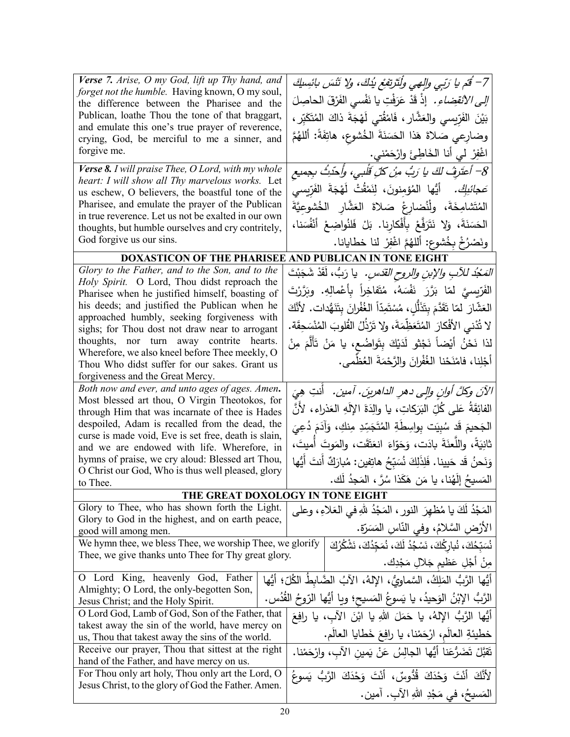| Verse 7. Arise, O my God, lift up Thy hand, and<br>forget not the humble. Having known, O my soul,<br>the difference between the Pharisee and the<br>Publican, loathe Thou the tone of that braggart,<br>and emulate this one's true prayer of reverence,<br>crying, God, be merciful to me a sinner, and<br>forgive me.                                                                                                             | 7– قَمْ يا رَبِّي وَالِهِي وَلَنَزْتِفَعْ يُذْكَ، وَلا تَتْسَ بِائِسِيكَ<br><i>إلى الانقضاءِ.</i> إذْ قَدْ عَرَفْتِ يا نَفْسي الفَرْقَ الحاصِلَ<br>بَيْنَ الفَرِّيسي والعَشَّار ، فَامْقُتي لَهْجَةَ ذاكَ المُتَكَبِّر ،<br>وضارِعي صَلاةَ هَذا الْحَسَنَةَ الْخُشوعِ، هاتِفَةُ: أَللهُمَّ<br>اغْفِرْ لي أنا الْخَاطِئَ وارْحَمْني.                                               |
|--------------------------------------------------------------------------------------------------------------------------------------------------------------------------------------------------------------------------------------------------------------------------------------------------------------------------------------------------------------------------------------------------------------------------------------|-----------------------------------------------------------------------------------------------------------------------------------------------------------------------------------------------------------------------------------------------------------------------------------------------------------------------------------------------------------------------------------|
| Verse 8. I will praise Thee, O Lord, with my whole<br>heart: I will show all Thy marvelous works. Let<br>us eschew, O believers, the boastful tone of the<br>Pharisee, and emulate the prayer of the Publican<br>in true reverence. Let us not be exalted in our own<br>thoughts, but humble ourselves and cry contritely,<br>God forgive us our sins.                                                                               | 8– أَعتَرِفُ لَكَ يا رَبُ مِنْ كُلِّ قَلْبِي، وأَحدَثُ بِجِميعِ<br>صَ <i>جائبِكْ.</i> أَيُّها الْمُؤمنونَ، لِنَمْقُتْ لَهْجَةَ الفَرّيسي<br>المُتَشامِخَةَ، ولْنُضارِعْ صَلاةَ العَشَّارِ الخُشوعِيَّةَ<br>الْحَسَنَةَ، وَلاْ نَتَرَفَّعْ بِأَفْكارِنا. بَلْ فَلَنُواضِعْ أَنْفُسَنا،<br>ونَصْرُخْ بِخُشوع: أَللهُمَّ اغْفِرْ لَنا خطايانا.                                       |
| <b>DOXASTICON OF THE PHARISEE AND PUBLICAN IN TONE EIGHT</b>                                                                                                                                                                                                                                                                                                                                                                         |                                                                                                                                                                                                                                                                                                                                                                                   |
| Glory to the Father, and to the Son, and to the                                                                                                                                                                                                                                                                                                                                                                                      | <i>المَجْدُ للآبِ والإبنِ والروحِ القدَسِ.</i> يا رَبُّ، لَقَدْ شَجَبْتَ                                                                                                                                                                                                                                                                                                          |
| Holy Spirit. O Lord, Thou didst reproach the<br>Pharisee when he justified himself, boasting of<br>his deeds; and justified the Publican when he<br>approached humbly, seeking forgiveness with<br>sighs; for Thou dost not draw near to arrogant<br>thoughts, nor turn away contrite hearts.<br>Wherefore, we also kneel before Thee meekly, O<br>Thou Who didst suffer for our sakes. Grant us<br>forgiveness and the Great Mercy. | الفَرّيسيَّ لمّا بَرَّرَ نَفْسَهُ، مُتَفاخِراً بِأَعْمالِهِ. وبَرَّرْتَ<br>العَشَّارَ لمّا تَقَدَّمَ بِتَذَلُّلِ، مُسْتَمِدّاً الغُفْرانَ بِتَنَهُّدات. لأَنَّكَ<br>لا تُدْنى الأَفْكارَ المُتَعَظِّمَةَ، ولا تَرْذُلُ القُلوبَ المُنْسَحِقَة.<br>لذا نَحْنُ أَيْضاً نَجْثو لَدَيْكَ بِتَواضُـع، يا مَنْ تَأَلَّمَ مِنْ<br>أَجْلِنا، فامْنَحْنا الغُفْرانَ والرَّحْمَةَ العُظْمى. |
| Both now and ever, and unto ages of ages. Amen.                                                                                                                                                                                                                                                                                                                                                                                      | الآنَ وكلَّ أوانِ والٍى دهرِ الداهرينَ. آمينَ.  أنتِ هِيَ                                                                                                                                                                                                                                                                                                                         |
| Most blessed art thou, O Virgin Theotokos, for                                                                                                                                                                                                                                                                                                                                                                                       | الفائِقَةُ عَلى كُلِّ البَرَكاتِ، يا والِدَةَ الإِلَهِ العَذراءِ، لأَنَّ                                                                                                                                                                                                                                                                                                          |
| through Him that was incarnate of thee is Hades<br>despoiled, Adam is recalled from the dead, the<br>curse is made void, Eve is set free, death is slain,<br>and we are endowed with life. Wherefore, in<br>hymns of praise, we cry aloud: Blessed art Thou,<br>O Christ our God, Who is thus well pleased, glory<br>to Thee.                                                                                                        | الجَحيمَ قَد سُبِيَت بِواسِطَةِ المُتَجَسِّدِ مِنكِ، وَآدَمَ دُعِيَ<br>ثانِيَةً، واللَّعنَةَ بادَت، وَحَوّاءَ انعَتَقَت، والمَوتَ أَميتَ،<br>وَنَحنُ قَد حَيينا. فَلِذَلِكَ نُسَبّحُ هاتِفين: مُبارَكٌ أنتَ أَيُّها<br>المَسيحُ إِلَهُنا، يا مَن هَكَذا سُرَّ ، المَجِدُ لَك.                                                                                                     |
| THE GREAT DOXOLOGY IN TONE EIGHT                                                                                                                                                                                                                                                                                                                                                                                                     |                                                                                                                                                                                                                                                                                                                                                                                   |
| Glory to Thee, who has shown forth the Light.<br>Glory to God in the highest, and on earth peace,<br>good will among men.<br>We hymn thee, we bless Thee, we worship Thee, we glorify<br>Thee, we give thanks unto Thee for Thy great glory.                                                                                                                                                                                         | الْمَجْدُ لَكَ يا مُظْهِرَ النورِ ، الْمَجْدُ للهِ في الْعَلاءِ ، وعلى<br>الأرْضِ السَّلامُ، وفي النَّاسِ المَسَرَّةِ.<br>نُسَبِّحُكَ، نُبارِكُكَ، نَسْجُدُ لَكَ، نُمَجِّدُكَ، نَشْكُرُكَ<br>مِنْ أَجْلِ عَظْيِمِ جَلالٍ مَجْدِكَ.                                                                                                                                                |
| O Lord King, heavenly God, Father<br>Almighty; O Lord, the only-begotten Son,<br>Jesus Christ; and the Holy Spirit.                                                                                                                                                                                                                                                                                                                  | أَيُّها الرَّبُّ المَلِكُ، السَّماوِيُّ، الإِلهُ، الآبُ الضَّابِطَ الكُلِّ؛ أَيُّها<br>الرَّبُّ الإبْنُ الوَحيدُ، يا يَسوعُ المَسيح؛ ويا أَيُّها الرّوحُ القُدُس.                                                                                                                                                                                                                 |
| O Lord God, Lamb of God, Son of the Father, that                                                                                                                                                                                                                                                                                                                                                                                     | أَيُّها الرَّبُّ الإِلهُ، يا حَمَلَ اللهِ يا ابْنَ الآبِ، يا رافِعَ                                                                                                                                                                                                                                                                                                               |
| takest away the sin of the world, have mercy on                                                                                                                                                                                                                                                                                                                                                                                      | خطيئةِ العالَم، ارْحَمْنا، يا رافِعَ خَطايا العالَم.                                                                                                                                                                                                                                                                                                                              |
| us, Thou that takest away the sins of the world.<br>Receive our prayer, Thou that sittest at the right                                                                                                                                                                                                                                                                                                                               |                                                                                                                                                                                                                                                                                                                                                                                   |
| hand of the Father, and have mercy on us.                                                                                                                                                                                                                                                                                                                                                                                            | نَقَبَّلْ تَضَرُّعَنا أَيُّها الْجالِسُ عَنْ يَمين الآبِ، وارْحَمْنا.                                                                                                                                                                                                                                                                                                             |
| For Thou only art holy, Thou only art the Lord, O<br>Jesus Christ, to the glory of God the Father. Amen.                                                                                                                                                                                                                                                                                                                             | لأَنَّكَ أَنْتَ وَحْدَكَ قُدُوسٌ، أَنْتَ وَحْدَكَ الرَّبُّ يَسوعُ<br>المَسيحُ، في مَجْدِ اللهِ الآبِ. آمين.                                                                                                                                                                                                                                                                       |
|                                                                                                                                                                                                                                                                                                                                                                                                                                      |                                                                                                                                                                                                                                                                                                                                                                                   |